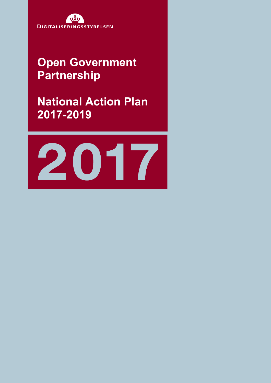

# **Open Government Partnership**

**National Action Plan 2017-2019**

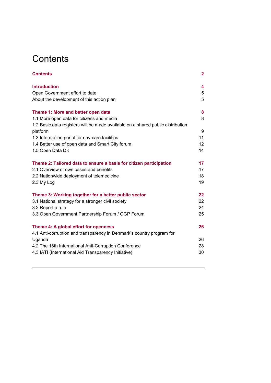# **Contents**

| <b>Contents</b>                                                                 | $\mathbf{2}$    |
|---------------------------------------------------------------------------------|-----------------|
| <b>Introduction</b>                                                             | 4               |
| Open Government effort to date                                                  | 5               |
| About the development of this action plan                                       | 5               |
| Theme 1: More and better open data                                              | 8               |
| 1.1 More open data for citizens and media                                       | 8               |
| 1.2 Basic data registers will be made available on a shared public distribution |                 |
| platform                                                                        | 9               |
| 1.3 Information portal for day-care facilities                                  | 11              |
| 1.4 Better use of open data and Smart City forum                                | 12 <sup>2</sup> |
| 1.5 Open Data DK                                                                | 14              |
| Theme 2: Tailored data to ensure a basis for citizen participation              | 17              |
| 2.1 Overview of own cases and benefits                                          | 17              |
| 2.2 Nationwide deployment of telemedicine                                       | 18              |
| 2.3 My Log                                                                      | 19              |
| Theme 3: Working together for a better public sector                            | 22              |
| 3.1 National strategy for a stronger civil society                              | 22              |
| 3.2 Report a rule                                                               | 24              |
| 3.3 Open Government Partnership Forum / OGP Forum                               | 25              |
| Theme 4: A global effort for openness                                           | 26              |
| 4.1 Anti-corruption and transparency in Denmark's country program for           |                 |
| Uganda                                                                          | 26              |
| 4.2 The 18th International Anti-Corruption Conference                           | 28              |
| 4.3 IATI (International Aid Transparency Initiative)                            | 30              |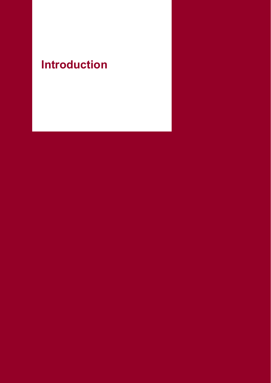# **Introduction**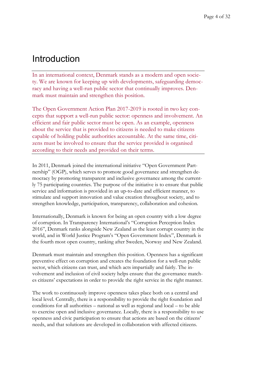# Introduction

In an international context, Denmark stands as a modern and open society. We are known for keeping up with developments, safeguarding democracy and having a well-run public sector that continually improves. Denmark must maintain and strengthen this position.

The Open Government Action Plan 2017-2019 is rooted in two key concepts that support a well-run public sector: openness and involvement. An efficient and fair public sector must be open. As an example, openness about the service that is provided to citizens is needed to make citizens capable of holding public authorities accountable. At the same time, citizens must be involved to ensure that the service provided is organised according to their needs and provided on their terms.

In 2011, Denmark joined the international initiative "Open Government Partnership" (OGP), which serves to promote good governance and strengthen democracy by promoting transparent and inclusive governance among the currently 75 participating countries. The purpose of the initiative is to ensure that public service and information is provided in an up-to-date and efficient manner, to stimulate and support innovation and value creation throughout society, and to strengthen knowledge, participation, transparency, collaboration and cohesion.

Internationally, Denmark is known for being an open country with a low degree of corruption. In Transparency International's "Corruption Perception Index 2016", Denmark ranks alongside New Zealand as the least corrupt country in the world, and in World Justice Program's "Open Government Index", Denmark is the fourth most open country, ranking after Sweden, Norway and New Zealand.

Denmark must maintain and strengthen this position. Openness has a significant preventive effect on corruption and creates the foundation for a well-run public sector, which citizens can trust, and which acts impartially and fairly. The involvement and inclusion of civil society helps ensure that the governance matches citizens' expectations in order to provide the right service in the right manner.

The work to continuously improve openness takes place both on a central and local level. Centrally, there is a responsibility to provide the right foundation and conditions for all authorities – national as well as regional and local – to be able to exercise open and inclusive governance. Locally, there is a responsibility to use openness and civic participation to ensure that actions are based on the citizens' needs, and that solutions are developed in collaboration with affected citizens.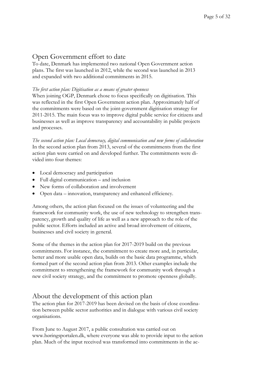### Open Government effort to date

To date, Denmark has implemented two national Open Government action plans. The first was launched in 2012, while the second was launched in 2013 and expanded with two additional commitments in 2015.

#### *The first action plan: Digitisation as a means of greater openness*

When joining OGP, Denmark chose to focus specifically on digitisation. This was reflected in the first Open Government action plan. Approximately half of the commitments were based on the joint-government digitisation strategy for 2011-2015. The main focus was to improve digital public service for citizens and businesses as well as improve transparency and accountability in public projects and processes.

*The second action plan: Local democracy, digital communication and new forms of collaboration* In the second action plan from 2013, several of the commitments from the first action plan were carried on and developed further. The commitments were divided into four themes:

- Local democracy and participation
- Full digital communication and inclusion
- New forms of collaboration and involvement
- Open data innovation, transparency and enhanced efficiency.

Among others, the action plan focused on the issues of volunteering and the framework for community work, the use of new technology to strengthen transparency, growth and quality of life as well as a new approach to the role of the public sector. Efforts included an active and broad involvement of citizens, businesses and civil society in general.

Some of the themes in the action plan for 2017-2019 build on the previous commitments. For instance, the commitment to create more and, in particular, better and more usable open data, builds on the basic data programme, which formed part of the second action plan from 2013. Other examples include the commitment to strengthening the framework for community work through a new civil society strategy, and the commitment to promote openness globally.

### About the development of this action plan

The action plan for 2017-2019 has been devised on the basis of close coordination between public sector authorities and in dialogue with various civil society organisations.

From June to August 2017, a public consultation was carried out on www.høringsportalen.dk, where everyone was able to provide input to the action plan. Much of the input received was transformed into commitments in the ac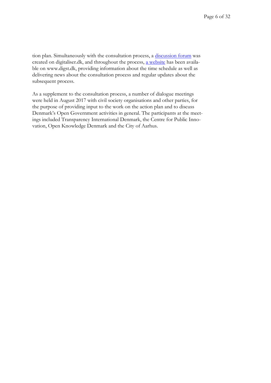tion plan. Simultaneously with the consultation process, a [discussion forum](https://digitaliser.dk/group/3647348) was created on digitaliser.dk, and throughout the process, [a website](https://www.digst.dk/Strategier/Open-Government) has been available on www.digst.dk, providing information about the time schedule as well as delivering news about the consultation process and regular updates about the subsequent process.

As a supplement to the consultation process, a number of dialogue meetings were held in August 2017 with civil society organisations and other parties, for the purpose of providing input to the work on the action plan and to discuss Denmark's Open Government activities in general. The participants at the meetings included Transparency International Denmark, the Centre for Public Innovation, Open Knowledge Denmark and the City of Aarhus.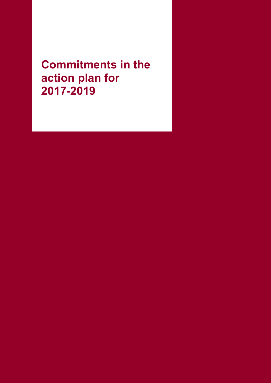**Commitments in the action plan for 2017-2019**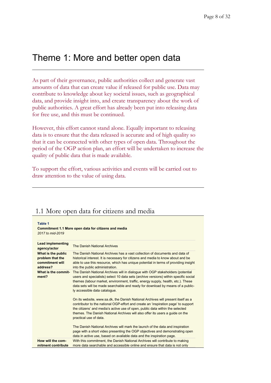# Theme 1: More and better open data

As part of their governance, public authorities collect and generate vast amounts of data that can create value if released for public use. Data may contribute to knowledge about key societal issues, such as geographical data, and provide insight into, and create transparency about the work of public authorities. A great effort has already been put into releasing data for free use, and this must be continued.

However, this effort cannot stand alone. Equally important to releasing data is to ensure that the data released is accurate and of high quality so that it can be connected with other types of open data. Throughout the period of the OGP action plan, an effort will be undertaken to increase the quality of public data that is made available.

To support the effort, various activities and events will be carried out to draw attention to the value of using data.

### 1.1 More open data for citizens and media

| Table 1<br>Commitment 1.1 More open data for citizens and media<br>2017 to mid-2019 |                                                                                                                                                                                                                                                                                                                                                                               |  |
|-------------------------------------------------------------------------------------|-------------------------------------------------------------------------------------------------------------------------------------------------------------------------------------------------------------------------------------------------------------------------------------------------------------------------------------------------------------------------------|--|
| <b>Lead implementing</b><br>agency/actor                                            | The Danish National Archives                                                                                                                                                                                                                                                                                                                                                  |  |
| What is the public<br>problem that the<br>commitment will<br>address?               | The Danish National Archives has a vast collection of documents and data of<br>historical interest. It is necessary for citizens and media to know about and be<br>able to use this resource, which has unique potential in terms of providing insight<br>into the public administration.                                                                                     |  |
| What is the commit-<br>ment?                                                        | The Danish National Archives will in dialogue with OGP stakeholders (potential<br>users and specialists) select 10 data sets (archive versions) within specific social<br>themes (labour market, environment, traffic, energy supply, health, etc.). These<br>data sets will be made searchable and ready for download by means of a public-<br>ly accessible data catalogue. |  |
|                                                                                     | On its website, www.sa.dk, the Danish National Archives will present itself as a<br>contributor to the national OGP-effort and create an 'inspiration page' to support<br>the citizens' and media's active use of open, public data within the selected<br>themes. The Danish National Archives will also offer its users a guide on the<br>practical use of data.            |  |
|                                                                                     | The Danish National Archives will mark the launch of the data and inspiration<br>page with a short video presenting the OGP objectives and demonstrating open<br>data in active use, based on available data and the inspiration page.                                                                                                                                        |  |
| How will the com-<br>mitment contribute                                             | With this commitment, the Danish National Archives will contribute to making<br>more data searchable and accessible online and ensure that data is not only                                                                                                                                                                                                                   |  |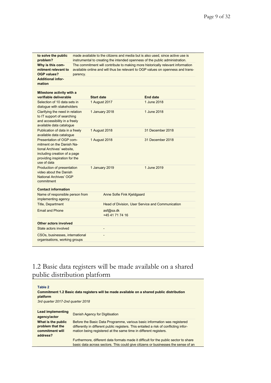| to solve the public<br>problem?                                                                                                                                    | made available to the citizens and media but is also used, since active use is<br>instrumental to creating the intended openness of the public administration. |                                                  |                                                                                                                                                                    |  |
|--------------------------------------------------------------------------------------------------------------------------------------------------------------------|----------------------------------------------------------------------------------------------------------------------------------------------------------------|--------------------------------------------------|--------------------------------------------------------------------------------------------------------------------------------------------------------------------|--|
| Why is this com-<br>mitment relevant to<br><b>OGP values?</b>                                                                                                      | parency.                                                                                                                                                       |                                                  | The commitment will contribute to making more historically relevant information<br>available online and will thus be relevant to OGP values on openness and trans- |  |
| <b>Additional infor-</b><br>mation                                                                                                                                 |                                                                                                                                                                |                                                  |                                                                                                                                                                    |  |
| Milestone activity with a                                                                                                                                          |                                                                                                                                                                |                                                  |                                                                                                                                                                    |  |
| verifiable deliverable                                                                                                                                             | <b>Start date</b>                                                                                                                                              |                                                  | <b>End date</b>                                                                                                                                                    |  |
| Selection of 10 data sets in<br>dialogue with stakeholders                                                                                                         |                                                                                                                                                                | 1 August 2017                                    | 1 June 2018                                                                                                                                                        |  |
| Clarifying the need in relation<br>to IT support of searching<br>and accessibility in a freely<br>available data catalogue                                         |                                                                                                                                                                | 1 January 2018                                   | 1 June 2018                                                                                                                                                        |  |
| Publication of data in a freely<br>available data catalogue                                                                                                        |                                                                                                                                                                | 1 August 2018                                    | 31 December 2018                                                                                                                                                   |  |
| Presentation of OGP com-<br>mitment on the Danish Na-<br>tional Archives' website.<br>including creation of a page<br>providing inspiration for the<br>use of data |                                                                                                                                                                | 1 August 2018                                    | 31 December 2018                                                                                                                                                   |  |
| Production of presentation<br>video about the Danish<br><b>National Archives' OGP</b><br>commitment                                                                |                                                                                                                                                                | 1 January 2019                                   | 1 June 2019                                                                                                                                                        |  |
| <b>Contact information</b>                                                                                                                                         |                                                                                                                                                                |                                                  |                                                                                                                                                                    |  |
| Name of responsible person from<br>implementing agency                                                                                                             |                                                                                                                                                                | Anne Sofie Fink Kjeldgaard                       |                                                                                                                                                                    |  |
| <b>Title, Department</b>                                                                                                                                           |                                                                                                                                                                | Head of Division, User Service and Communication |                                                                                                                                                                    |  |
| <b>Email and Phone</b>                                                                                                                                             |                                                                                                                                                                | asf@sa.dk<br>+45 41 71 74 16                     |                                                                                                                                                                    |  |
| Other actors involved                                                                                                                                              |                                                                                                                                                                |                                                  |                                                                                                                                                                    |  |
| State actors involved                                                                                                                                              |                                                                                                                                                                | ٠                                                |                                                                                                                                                                    |  |
| CSOs, businesses, international<br>organisations, working groups                                                                                                   |                                                                                                                                                                |                                                  |                                                                                                                                                                    |  |
|                                                                                                                                                                    |                                                                                                                                                                |                                                  |                                                                                                                                                                    |  |

### 1.2 Basic data registers will be made available on a shared public distribution platform

| Table 2<br>Commitment 1.2 Basic data registers will be made available on a shared public distribution<br>platform<br>3rd quarter 2017-2nd quarter 2018 |                                                                                                                                                                                                                                        |  |
|--------------------------------------------------------------------------------------------------------------------------------------------------------|----------------------------------------------------------------------------------------------------------------------------------------------------------------------------------------------------------------------------------------|--|
| Lead implementing<br>agency/actor                                                                                                                      | Danish Agency for Digitisation                                                                                                                                                                                                         |  |
| What is the public<br>problem that the<br>commitment will<br>address?                                                                                  | Before the Basic Data Programme, various basic information was registered<br>differently in different public registers. This entailed a risk of conflicting infor-<br>mation being registered at the same time in different registers. |  |
|                                                                                                                                                        | Furthermore, different data formats made it difficult for the public sector to share<br>basic data across sectors. This could give citizens or businesses the sense of an                                                              |  |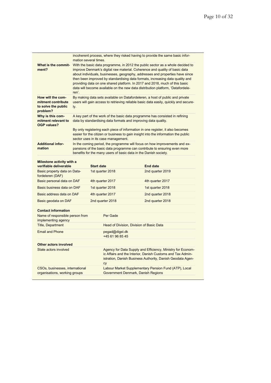|                                                                            | mation several times.                                                                                                                                                                                                                                                                                                                                                                                                                                                                                      |                                          | incoherent process, where they risked having to provide the same basic infor-                                                                                                                                               |  |
|----------------------------------------------------------------------------|------------------------------------------------------------------------------------------------------------------------------------------------------------------------------------------------------------------------------------------------------------------------------------------------------------------------------------------------------------------------------------------------------------------------------------------------------------------------------------------------------------|------------------------------------------|-----------------------------------------------------------------------------------------------------------------------------------------------------------------------------------------------------------------------------|--|
| What is the commit-<br>ment?                                               | With the basic data programme, in 2012 the public sector as a whole decided to<br>improve Denmark's digital raw material. Coherence and quality of basic data<br>about individuals, businesses, geography, addresses and properties have since<br>then been improved by standardising data formats, increasing data quality and<br>providing data on one shared platform. In 2017 and 2018, much of this basic<br>data will become available on the new data distribution platform, 'Datafordele-<br>ren'. |                                          |                                                                                                                                                                                                                             |  |
| How will the com-<br>mitment contribute<br>to solve the public<br>problem? | By making data sets available on Datafordeleren, a host of public and private<br>users will gain access to retrieving reliable basic data easily, quickly and secure-<br>ly.                                                                                                                                                                                                                                                                                                                               |                                          |                                                                                                                                                                                                                             |  |
| Why is this com-<br>mitment relevant to<br><b>OGP values?</b>              | A key part of the work of the basic data programme has consisted in refining<br>data by standardising data formats and improving data quality.                                                                                                                                                                                                                                                                                                                                                             |                                          |                                                                                                                                                                                                                             |  |
|                                                                            |                                                                                                                                                                                                                                                                                                                                                                                                                                                                                                            | sector uses in its case management.      | By only registering each piece of information in one register, it also becomes<br>easier for the citizen or business to gain insight into the information the public                                                        |  |
| <b>Additional infor-</b><br>mation                                         |                                                                                                                                                                                                                                                                                                                                                                                                                                                                                                            |                                          | In the coming period, the programme will focus on how improvements and ex-<br>pansions of the basic data programme can contribute to ensuring even more<br>benefits for the many users of basic data in the Danish society. |  |
| Milestone activity with a<br>verifiable deliverable                        | <b>Start date</b>                                                                                                                                                                                                                                                                                                                                                                                                                                                                                          |                                          | <b>End date</b>                                                                                                                                                                                                             |  |
| Basic property data on Data-<br>fordeleren (DAF)                           |                                                                                                                                                                                                                                                                                                                                                                                                                                                                                                            | 1st quarter 2018                         | 2nd quarter 2019                                                                                                                                                                                                            |  |
| Basic personal data on DAF                                                 |                                                                                                                                                                                                                                                                                                                                                                                                                                                                                                            | 4th quarter 2017                         | 4th quarter 2017                                                                                                                                                                                                            |  |
| Basic business data on DAF                                                 |                                                                                                                                                                                                                                                                                                                                                                                                                                                                                                            | 1st quarter 2018                         | 1st quarter 2018                                                                                                                                                                                                            |  |
| Basic address data on DAF                                                  |                                                                                                                                                                                                                                                                                                                                                                                                                                                                                                            | 4th quarter 2017                         | 2nd quarter 2018                                                                                                                                                                                                            |  |
| Basic geodata on DAF                                                       |                                                                                                                                                                                                                                                                                                                                                                                                                                                                                                            | 2nd quarter 2018                         | 2nd quarter 2018                                                                                                                                                                                                            |  |
| <b>Contact information</b>                                                 |                                                                                                                                                                                                                                                                                                                                                                                                                                                                                                            |                                          |                                                                                                                                                                                                                             |  |
| Name of responsible person from<br>implementing agency                     |                                                                                                                                                                                                                                                                                                                                                                                                                                                                                                            | Per Gade                                 |                                                                                                                                                                                                                             |  |
| <b>Title, Department</b>                                                   |                                                                                                                                                                                                                                                                                                                                                                                                                                                                                                            | Head of Division, Division of Basic Data |                                                                                                                                                                                                                             |  |
| <b>Email and Phone</b>                                                     |                                                                                                                                                                                                                                                                                                                                                                                                                                                                                                            |                                          | pegad@digst.dk<br>+45 61 96 85 45                                                                                                                                                                                           |  |
| Other actors involved                                                      |                                                                                                                                                                                                                                                                                                                                                                                                                                                                                                            |                                          |                                                                                                                                                                                                                             |  |
| State actors involved                                                      |                                                                                                                                                                                                                                                                                                                                                                                                                                                                                                            | <b>CV</b>                                | Agency for Data Supply and Efficiency, Ministry for Econom-<br>ic Affairs and the Interior, Danish Customs and Tax Admin-<br>istration, Danish Business Authority, Danish Geodata Agen-                                     |  |
| CSOs, businesses, international                                            |                                                                                                                                                                                                                                                                                                                                                                                                                                                                                                            |                                          | Labour Market Supplementary Pension Fund (ATP), Local                                                                                                                                                                       |  |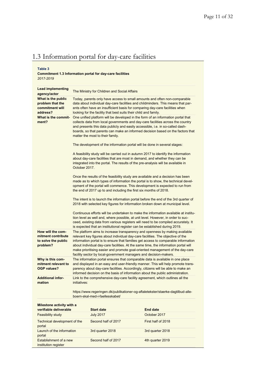# 1.3 Information portal for day-care facilities

#### **Table 3**

#### **Commitment 1.3 Information portal for day-care facilities** *2017-2019*

| <b>Lead implementing</b><br>agency/actor                                   |                                                                                                                                                                                                                                                                                                                                                                                                                                                                                                   | The Ministry for Children and Social Affairs                      |                                                                                                                                                                                                                                                                                                                                             |
|----------------------------------------------------------------------------|---------------------------------------------------------------------------------------------------------------------------------------------------------------------------------------------------------------------------------------------------------------------------------------------------------------------------------------------------------------------------------------------------------------------------------------------------------------------------------------------------|-------------------------------------------------------------------|---------------------------------------------------------------------------------------------------------------------------------------------------------------------------------------------------------------------------------------------------------------------------------------------------------------------------------------------|
| What is the public<br>problem that the<br>commitment will<br>address?      |                                                                                                                                                                                                                                                                                                                                                                                                                                                                                                   | looking for the facility that best suits their child and family.  | Today, parents only have access to small amounts and often non-comparable<br>data about individual day-care facilities and childminders. This means that par-<br>ents often have an insufficient basis for comparing day-care facilities when                                                                                               |
| What is the commit-<br>ment?                                               |                                                                                                                                                                                                                                                                                                                                                                                                                                                                                                   | matter the most to their family.                                  | One unified platform will be developed in the form of an information portal that<br>collects data from local governments and day-care facilities across the country<br>and presents this data publicly and easily accessible, i.e. in so-called dash-<br>boards, so that parents can make an informed decision based on the factors that    |
|                                                                            |                                                                                                                                                                                                                                                                                                                                                                                                                                                                                                   |                                                                   | The development of the information portal will be done in several stages:                                                                                                                                                                                                                                                                   |
|                                                                            | October 2017.                                                                                                                                                                                                                                                                                                                                                                                                                                                                                     |                                                                   | A feasibility study will be carried out in autumn 2017 to identify the information<br>about day-care facilities that are most in demand, and whether they can be<br>integrated into the portal. The results of the pre-analysis will be available in                                                                                        |
|                                                                            |                                                                                                                                                                                                                                                                                                                                                                                                                                                                                                   | the end of 2017 up to and including the first six months of 2018. | Once the results of the feasibility study are available and a decision has been<br>made as to which types of information the portal is to show, the technical devel-<br>opment of the portal will commence. This development is expected to run from                                                                                        |
|                                                                            |                                                                                                                                                                                                                                                                                                                                                                                                                                                                                                   |                                                                   | The intent is to launch the information portal before the end of the 3rd quarter of<br>2018 with selected key figures for information broken down at municipal level.                                                                                                                                                                       |
|                                                                            |                                                                                                                                                                                                                                                                                                                                                                                                                                                                                                   |                                                                   | Continuous efforts will be undertaken to make the information available at institu-<br>tion level as well and, where possible, at unit level. However, in order to suc-<br>ceed, existing data from various registers will need to be compiled accurately. It<br>is expected that an institutional register can be established during 2019. |
| How will the com-<br>mitment contribute<br>to solve the public<br>problem? | The platform aims to increase transparency and openness by making available<br>relevant key figures about individual day-care facilities. The objective of the<br>information portal is to ensure that families get access to comparable information<br>about individual day-care facilities. At the same time, the information portal will<br>make prioritising easier and promote goal-oriented management of the day-care<br>facility sector by local-government managers and decision-makers. |                                                                   |                                                                                                                                                                                                                                                                                                                                             |
| Why is this com-<br>mitment relevant to<br>OGP values?                     | The information portal ensures that comparable data is available in one place<br>and displayed in an easy and user-friendly manner. This will help promote trans-<br>parency about day-care facilities. Accordingly, citizens will be able to make an<br>informed decision on the basis of information about the public administration.                                                                                                                                                           |                                                                   |                                                                                                                                                                                                                                                                                                                                             |
| <b>Additional infor-</b><br>mation                                         | initiatives:                                                                                                                                                                                                                                                                                                                                                                                                                                                                                      |                                                                   | Link to the comprehensive day-care facility agreement, which outlines all the                                                                                                                                                                                                                                                               |
|                                                                            |                                                                                                                                                                                                                                                                                                                                                                                                                                                                                                   | boern-skal-med-i-faellesskabet/                                   | https://www.regeringen.dk/publikationer-og-aftaletekster/staerke-dagtilbud-alle-                                                                                                                                                                                                                                                            |
| Milestone activity with a<br>verifiable deliverable                        |                                                                                                                                                                                                                                                                                                                                                                                                                                                                                                   | <b>Start date</b>                                                 | <b>End date</b>                                                                                                                                                                                                                                                                                                                             |
| Feasibility study                                                          |                                                                                                                                                                                                                                                                                                                                                                                                                                                                                                   | <b>July 2017</b>                                                  | October 2017                                                                                                                                                                                                                                                                                                                                |
| Technical development of the<br>portal                                     |                                                                                                                                                                                                                                                                                                                                                                                                                                                                                                   | Second half of 2017                                               | First half of 2018                                                                                                                                                                                                                                                                                                                          |
| Launch of the information<br>portal                                        |                                                                                                                                                                                                                                                                                                                                                                                                                                                                                                   | 3rd quarter 2018                                                  | 3rd quarter 2018                                                                                                                                                                                                                                                                                                                            |
| Establishment of a new<br>institution register                             |                                                                                                                                                                                                                                                                                                                                                                                                                                                                                                   | Second half of 2017                                               | 4th quarter 2019                                                                                                                                                                                                                                                                                                                            |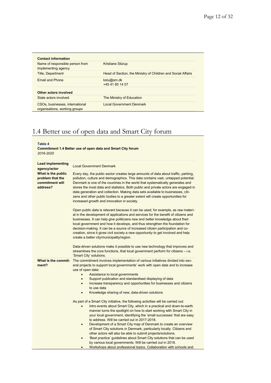| Name of responsible person from<br>implementing agency           | Kristiane Stürup                                             |
|------------------------------------------------------------------|--------------------------------------------------------------|
| <b>Title, Department</b>                                         | Head of Section, the Ministry of Children and Social Affairs |
| <b>Email and Phone</b>                                           | kstu@sm.dk<br>+45 41 85 14 07                                |
| Other actors involved                                            |                                                              |
| State actors involved                                            | The Ministry of Education                                    |
| CSOs, businesses, international<br>organisations, working groups | Local Government Denmark                                     |

### 1.4 Better use of open data and Smart City forum

#### **Table 4**

**Commitment 1.4 Better use of open data and Smart City forum** *2016-2020*

| <b>Lead implementing</b><br>agency/actor                              | <b>Local Government Denmark</b>                                                                                                                                                                                                                                                                                                                                                                                                                                                                                                                                                                                                                                                                                                                             |
|-----------------------------------------------------------------------|-------------------------------------------------------------------------------------------------------------------------------------------------------------------------------------------------------------------------------------------------------------------------------------------------------------------------------------------------------------------------------------------------------------------------------------------------------------------------------------------------------------------------------------------------------------------------------------------------------------------------------------------------------------------------------------------------------------------------------------------------------------|
| What is the public<br>problem that the<br>commitment will<br>address? | Every day, the public sector creates large amounts of data about traffic, parking,<br>pollution, culture and demographics. This data contains vast, untapped potential.<br>Denmark is one of the countries in the world that systematically generates and<br>stores the most data and statistics. Both public and private actors are engaged in<br>data generation and collection. Making data sets available to businesses, citi-<br>zens and other public bodies to a greater extent will create opportunities for<br>increased growth and innovation in society.                                                                                                                                                                                         |
|                                                                       | Open public data is relevant because it can be used, for example, as raw materi-<br>al in the development of applications and services for the benefit of citizens and<br>businesses. It can help give politicians new and better knowledge about their<br>local government and how it develops, and thus strengthen the foundation for<br>decision-making. It can be a source of increased citizen participation and co-<br>creation, since it gives civil society a new opportunity to get involved and help<br>create a better city/municipality/region.                                                                                                                                                                                                 |
|                                                                       | Data-driven solutions make it possible to use new technology that improves and<br>streamlines the core functions, that local government perform for citizens – i.e.<br>'Smart City' solutions.                                                                                                                                                                                                                                                                                                                                                                                                                                                                                                                                                              |
| What is the commit-<br>ment?                                          | The commitment involves implementation of various initiatives divided into sev-<br>eral projects to support local governments' work with open data and to increase<br>use of open data:<br>Assistance to local governments<br>$\bullet$<br>Support publication and standardised displaying of data<br>$\bullet$<br>Increase transparency and opportunities for businesses and citizens<br>$\bullet$<br>to use data<br>Knowledge sharing of new, data-driven solutions<br>$\bullet$                                                                                                                                                                                                                                                                          |
|                                                                       | As part of a Smart City initiative, the following activities will be carried out:<br>Intro events about Smart City, which in a practical and down-to-earth<br>$\bullet$<br>manner turns the spotlight on how to start working with Smart City in<br>your local government, identifying the 'small successes' that are easy<br>to address. Will be carried out in 2017-2018.<br>Development of a Smart City map of Denmark to create an overview<br>$\bullet$<br>of Smart City solutions in Denmark, particularly locally. Citizens and<br>other actors will also be able to submit projects/solutions.<br>'Best practice' guidelines about Smart City solutions that can be used<br>$\bullet$<br>by various local governments. Will be carried out in 2018. |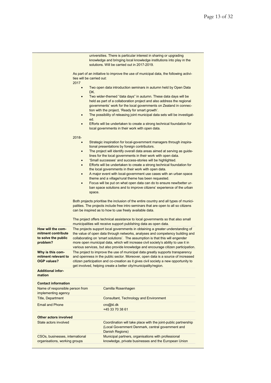|                                                                            | universities. There is particular interest in sharing or upgrading<br>knowledge and bringing local knowledge institutions into play in the<br>solutions. Will be carried out in 2017-2019.                                                                                                                                                                                                                                                                                                                                 |  |  |  |
|----------------------------------------------------------------------------|----------------------------------------------------------------------------------------------------------------------------------------------------------------------------------------------------------------------------------------------------------------------------------------------------------------------------------------------------------------------------------------------------------------------------------------------------------------------------------------------------------------------------|--|--|--|
|                                                                            | As part of an initiative to improve the use of municipal data, the following activi-<br>ties will be carried out:<br>2017                                                                                                                                                                                                                                                                                                                                                                                                  |  |  |  |
|                                                                            | Two open data introduction seminars in autumn held by Open Data<br>$\bullet$<br>DK.                                                                                                                                                                                                                                                                                                                                                                                                                                        |  |  |  |
|                                                                            | Two wider-themed "data days" in autumn. These data days will be<br>$\bullet$<br>held as part of a collaboration project and also address the regional<br>governments' work for the local governments on Zealand in connec-<br>tion with the project, 'Ready for smart growth'.<br>The possibility of releasing joint municipal data sets will be investigat-<br>$\bullet$<br>ed.<br>Efforts will be undertaken to create a strong technical foundation for<br>$\bullet$<br>local governments in their work with open data. |  |  |  |
|                                                                            | $2018 -$                                                                                                                                                                                                                                                                                                                                                                                                                                                                                                                   |  |  |  |
|                                                                            | Strategic inspiration for local-government managers through inspira-<br>$\bullet$<br>tional presentations by foreign contributors.<br>The project will identify overall data areas aimed at serving as guide-<br>$\bullet$                                                                                                                                                                                                                                                                                                 |  |  |  |
|                                                                            | lines for the local governments in their work with open data.<br>'Small successes' and success-stories will be highlighted.<br>Efforts will be undertaken to create a strong technical foundation for<br>$\bullet$                                                                                                                                                                                                                                                                                                         |  |  |  |
|                                                                            | the local governments in their work with open data.<br>A major event with local-government use cases with an urban space<br>$\bullet$                                                                                                                                                                                                                                                                                                                                                                                      |  |  |  |
|                                                                            | theme and a village/rural theme has been requested.<br>Focus will be put on what open data can do to ensure new/better ur-<br>$\bullet$<br>ban space solutions and to improve citizens' experience of the urban<br>space.                                                                                                                                                                                                                                                                                                  |  |  |  |
|                                                                            |                                                                                                                                                                                                                                                                                                                                                                                                                                                                                                                            |  |  |  |
|                                                                            | Both projects prioritise the inclusion of the entire country and all types of munici-<br>palities. The projects include free intro seminars that are open to all so citizens<br>can be inspired as to how to use freely available data.                                                                                                                                                                                                                                                                                    |  |  |  |
|                                                                            | The project offers technical assistance to local governments so that also small<br>municipalities will receive support publishing data as open data.                                                                                                                                                                                                                                                                                                                                                                       |  |  |  |
| How will the com-<br>mitment contribute<br>to solve the public<br>problem? | The projects support local governments in obtaining a greater understanding of<br>the value of open data through networks, analyses and competency building and<br>collaborating on 'smart solutions'. The assumption is that this will engender<br>more open municipal data, which will increase civil society's ability to use it in                                                                                                                                                                                     |  |  |  |
| Why is this com-<br>mitment relevant to<br><b>OGP values?</b>              | various services, but also provide knowledge and encourage citizen participation.<br>The project to improve the use of municipal data greatly supports transparency<br>and openness in the public sector. Moreover, open data is a source of increased<br>citizen participation and co-creation as it gives civil society a new opportunity to<br>get involved, helping create a better city/municipality/region.                                                                                                          |  |  |  |
| <b>Additional infor-</b><br>mation                                         |                                                                                                                                                                                                                                                                                                                                                                                                                                                                                                                            |  |  |  |
| <b>Contact information</b>                                                 |                                                                                                                                                                                                                                                                                                                                                                                                                                                                                                                            |  |  |  |
| Name of responsible person from<br>implementing agency                     | Camilla Rosenhagen                                                                                                                                                                                                                                                                                                                                                                                                                                                                                                         |  |  |  |
| <b>Title, Department</b>                                                   | <b>Consultant, Technology and Environment</b>                                                                                                                                                                                                                                                                                                                                                                                                                                                                              |  |  |  |
| <b>Email and Phone</b>                                                     | cro@kl.dk<br>+45 33 70 38 61                                                                                                                                                                                                                                                                                                                                                                                                                                                                                               |  |  |  |
| Other actors involved                                                      |                                                                                                                                                                                                                                                                                                                                                                                                                                                                                                                            |  |  |  |
| State actors involved                                                      | Coordination will take place with the joint-public partnership<br>(Local Government Denmark, central government and<br>Danish Regions)                                                                                                                                                                                                                                                                                                                                                                                     |  |  |  |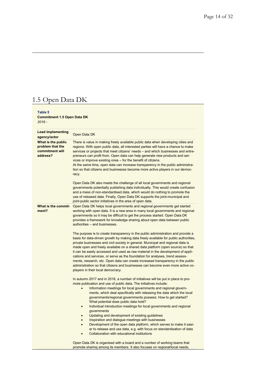# 1.5 Open Data DK

#### **Table 5 Commitment 1.5 Open Data DK** *2016 -*

| <b>Lead implementing</b><br>agency/actor                              | Open Data DK                                                                                                                                                                                                                                                                                                                                                                                                                                                                                                                                                                                                                                                                                                                                                                                                             |
|-----------------------------------------------------------------------|--------------------------------------------------------------------------------------------------------------------------------------------------------------------------------------------------------------------------------------------------------------------------------------------------------------------------------------------------------------------------------------------------------------------------------------------------------------------------------------------------------------------------------------------------------------------------------------------------------------------------------------------------------------------------------------------------------------------------------------------------------------------------------------------------------------------------|
| What is the public<br>problem that the<br>commitment will<br>address? | There is value in making freely available public data when developing cities and<br>regions. With open public data, all interested parties will have a chance to make<br>services or projects that meet citizens' needs – and which businesses and entre-<br>preneurs can profit from. Open data can help generate new products and ser-<br>vices or improve existing ones – for the benefit of citizens.<br>At the same time, open data can increase transparency in the public administra-<br>tion so that citizens and businesses become more active players in our democ-<br>racy.                                                                                                                                                                                                                                   |
|                                                                       | Open Data DK also meets the challenge of all local governments and regional<br>governments potentially publishing data individually. This would create confusion<br>and a mess of non-standardised data, which would do nothing to promote the<br>use of released data. Finally, Open Data DK supports the joint-municipal and<br>joint-public sector initiatives in the area of open data.                                                                                                                                                                                                                                                                                                                                                                                                                              |
| What is the commit-<br>ment?                                          | Open Data DK helps local governments and regional governments get started<br>working with open data. It is a new area in many local governments and regional<br>governments so it may be difficult to get the process started. Open Data DK<br>provides a framework for knowledge sharing about open data between public<br>authorities - and businesses.                                                                                                                                                                                                                                                                                                                                                                                                                                                                |
|                                                                       | The purpose is to create transparency in the public administration and provide a<br>basis for data-driven growth by making data freely available for public authorities,<br>private businesses and civil society in general. Municipal and regional data is<br>made open and freely available on a shared data platform (open source) so that<br>it can be easily accessed and used as raw material in the development of appli-<br>cations and services, or serve as the foundation for analyses, trend assess-<br>ments, research, etc. Open data can create increased transparency in the public<br>administration so that citizens and businesses can become even more active co-<br>players in their local democracy.                                                                                               |
|                                                                       | In autumn 2017 and in 2018, a number of initiatives will be put in place to pro-<br>mote publication and use of public data. The initiatives include:<br>Information meetings for local governments and regional govern-<br>ments, which deal specifically with releasing the data which the local<br>governments/regional governments possess: How to get started?<br>What potential does public data hold?<br>Individual introduction meetings for local governments and regional<br>$\bullet$<br>governments<br>Updating and development of existing guidelines<br>Inspiration and dialogue meetings with businesses<br>Development of the open data platform, which serves to make it easi-<br>er to release and use data, e.g. with focus on standardisation of data<br>Collaboration with educational institutions |
|                                                                       | Open Data DK is organised with a board and a number of working teams that<br>promote sharing among its members. It also focuses on regional/local needs,                                                                                                                                                                                                                                                                                                                                                                                                                                                                                                                                                                                                                                                                 |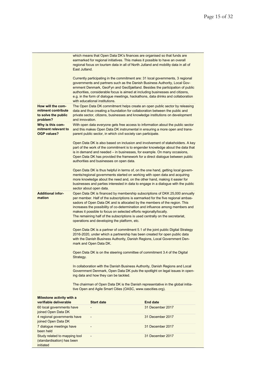|                                                                            | East Jutland.           |                                                               | which means that Open Data DK's finances are organised so that funds are<br>earmarked for regional initiatives. This makes it possible to have an overall<br>regional focus on tourism data in all of North Jutland and mobility data in all of                                                                                                                                                                                                                                      |
|----------------------------------------------------------------------------|-------------------------|---------------------------------------------------------------|--------------------------------------------------------------------------------------------------------------------------------------------------------------------------------------------------------------------------------------------------------------------------------------------------------------------------------------------------------------------------------------------------------------------------------------------------------------------------------------|
|                                                                            |                         | with educational institutions.                                | Currently participating in the commitment are: 31 local governments, 3 regional<br>governments and partners such as the Danish Business Authority, Local Gov-<br>ernment Denmark, GeoFyn and GeoSjælland. Besides the participation of public<br>authorities, considerable focus is aimed at including businesses and citizens,<br>e.g. in the form of dialogue meetings, hackathons, data drinks and collaboration                                                                  |
| How will the com-<br>mitment contribute<br>to solve the public<br>problem? | and innovation.         |                                                               | The Open Data DK commitment helps create an open public sector by releasing<br>data and thus creating a foundation for collaboration between the public and<br>private sector, citizens, businesses and knowledge institutions on development                                                                                                                                                                                                                                        |
| Why is this com-<br>mitment relevant to<br><b>OGP values?</b>              |                         | parent public sector, in which civil society can participate. | With open data everyone gets free access to information about the public sector<br>and this makes Open Data DK instrumental in ensuring a more open and trans-                                                                                                                                                                                                                                                                                                                       |
|                                                                            |                         | authorities and businesses on open data.                      | Open Data DK is also based on inclusion and involvement of stakeholders. A key<br>part of the work of the commitment is to engender knowledge about the data that<br>is in demand and needed – in businesses, for example. On many occasions,<br>Open Data DK has provided the framework for a direct dialogue between public                                                                                                                                                        |
|                                                                            | sector about open data. |                                                               | Open Data DK is thus helpful in terms of, on the one hand, getting local govern-<br>ments/regional governments started on working with open data and acquiring<br>more knowledge about the need and, on the other hand, making it easier for<br>businesses and parties interested in data to engage in a dialogue with the public                                                                                                                                                    |
| <b>Additional infor-</b><br>mation                                         |                         | operations and developing the platform, etc.                  | Open Data DK is financed by membership subscriptions of DKK 25,000 annually<br>per member. Half of the subscriptions is earmarked for the five regional ambas-<br>sadors of Open Data DK and is allocated by the members of the region. This<br>increases the possibility of co-determination and influence among members and<br>makes it possible to focus on selected efforts regionally/locally.<br>The remaining half of the subscriptions is used centrally on the secretariat, |
|                                                                            | mark and Open Data DK.  |                                                               | Open Data DK is a partner of commitment 5.1 of the joint public Digital Strategy<br>2016-2020, under which a partnership has been created for open public data<br>with the Danish Business Authority, Danish Regions, Local Government Den-                                                                                                                                                                                                                                          |
|                                                                            | Strategy.               |                                                               | Open Data DK is on the steering committee of commitment 3.4 of the Digital                                                                                                                                                                                                                                                                                                                                                                                                           |
|                                                                            |                         | ing data and how they can be tackled.                         | In collaboration with the Danish Business Authority, Danish Regions and Local<br>Government Denmark, Open Data DK puts the spotlight on legal issues in open-                                                                                                                                                                                                                                                                                                                        |
|                                                                            |                         | tive Open and Agile Smart Cities (OASC, www.oascities.org).   | The chairman of Open Data DK is the Danish representative in the global initia-                                                                                                                                                                                                                                                                                                                                                                                                      |
| Milestone activity with a<br>verifiable deliverable                        |                         | <b>Start date</b>                                             | <b>End date</b>                                                                                                                                                                                                                                                                                                                                                                                                                                                                      |
| 60 local governments have<br>joined Open Data DK                           |                         |                                                               | 31 December 2017                                                                                                                                                                                                                                                                                                                                                                                                                                                                     |
| 4 regional governments have<br>joined Open Data DK                         |                         |                                                               | 31 December 2017                                                                                                                                                                                                                                                                                                                                                                                                                                                                     |
| 7 dialogue meetings have<br>been held                                      |                         |                                                               | 31 December 2017                                                                                                                                                                                                                                                                                                                                                                                                                                                                     |
| Study related to mapping tool<br>(standardisation) has been<br>initiated   |                         |                                                               | 31 December 2017                                                                                                                                                                                                                                                                                                                                                                                                                                                                     |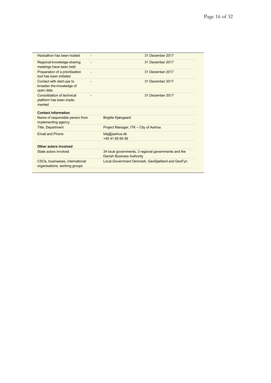| Hackathon has been hosted                                          | 31 December 2017                                                                         |
|--------------------------------------------------------------------|------------------------------------------------------------------------------------------|
| Regional knowledge-sharing<br>meetings have been held              | 31 December 2017                                                                         |
| Preparation of a prioritisation<br>tool has been initiated         | 31 December 2017                                                                         |
| Contact with start-ups to<br>broaden the knowledge of<br>open data | 31 December 2017                                                                         |
| Consolidation of technical<br>platform has been imple-<br>mented   | 31 December 2017                                                                         |
| <b>Contact information</b>                                         |                                                                                          |
| Name of responsible person from<br>implementing agency             | <b>Birgitte Kjærgaard</b>                                                                |
| <b>Title, Department</b>                                           | Project Manager, ITK - City of Aarhus                                                    |
| <b>Fmail and Phone</b>                                             | bikj@aarhus.dk<br>+45 41 85 65 56                                                        |
| Other actors involved                                              |                                                                                          |
| State actors involved                                              | 34 local governments, 3 regional governments and the<br><b>Danish Business Authority</b> |
| CSOs, businesses, international<br>organisations, working groups   | Local Government Denmark, GeoSjælland and GeoFyn                                         |
|                                                                    |                                                                                          |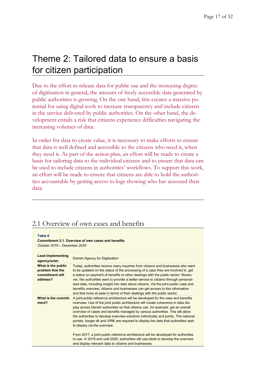# Theme 2: Tailored data to ensure a basis for citizen participation

Due to the effort to release data for public use and the increasing degree of digitisation in general, the amount of freely accessible data generated by public authorities is growing. On the one hand, this creates a massive potential for using digital tools to increase transparency and include citizens in the service delivered by public authorities. On the other hand, the development entails a risk that citizens experience difficulties navigating the increasing volumes of data.

In order for data to create value, it is necessary to make efforts to ensure that data is well defined and accessible to the citizens who need it, when they need it. As part of the action plan, an effort will be made to create a basis for tailoring data to the individual citizens and to ensure that data can be used to include citizens in authorities' workflows. To support this work, an effort will be made to ensure that citizens are able to hold the authorities accountable by getting access to logs showing who has accessed their data.

### 2.1 Overview of own cases and benefits

#### **Table 6**

**Commitment 2.1. Overview of own cases and benefits** *October 2016 – December 2020*

| <b>Lead implementing</b><br>agency/actor                              | Danish Agency for Digitisation                                                                                                                                                                                                                                                                                                                                                                                                                                                                                                                                                                                                                                                                                                          |
|-----------------------------------------------------------------------|-----------------------------------------------------------------------------------------------------------------------------------------------------------------------------------------------------------------------------------------------------------------------------------------------------------------------------------------------------------------------------------------------------------------------------------------------------------------------------------------------------------------------------------------------------------------------------------------------------------------------------------------------------------------------------------------------------------------------------------------|
| What is the public<br>problem that the<br>commitment will<br>address? | Today, authorities receive many inquiries from citizens and businesses who want<br>to be updated on the status of the processing of a case they are involved in, get<br>a status on payment of benefits or other dealings with the public sector. Moreo-<br>ver, the authorities want to provide a better service to citizens through personal-<br>ised data, including insight into data about citizens. Via the joint-public case and<br>benefits overview, citizens and businesses can get access to this information<br>and feel more at ease in terms of their dealings with the public sector.                                                                                                                                    |
| What is the commit-<br>ment?                                          | A joint-public reference architecture will be developed for the case and benefits<br>overview. Use of the joint public architecture will create coherence in data dis-<br>play across Danish authorities so that citizens can, for example, get an overall<br>overview of cases and benefits managed by various authorities. This will allow<br>the authorities to develop overview solutions individually and jointly. The national<br>portals, borger dk and VIRK are required to display the data that authorities wish<br>to display via the overview.<br>From 2017, a joint-public reference architecture will be developed for authorities<br>to use. In 2018 and until 2020, authorities will use pilots to develop the overview |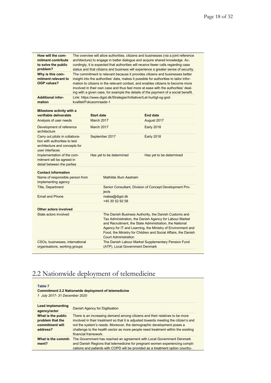| How will the com-<br>mitment contribute<br>to solve the public<br>problem?                                          | The overview will allow authorities, citizens and businesses (via a joint reference<br>architecture) to engage in better dialogue and acquire shared knowledge. Ac-<br>cordingly, it is expected that authorities will receive fewer calls regarding case<br>status and that citizens and business will experience a greater sense of security. |                                                                                                                                                                                                                                                                                                                                             |                                                                                        |                                                                                                                                                                                                                                                                                                                                                                                                                                       |  |
|---------------------------------------------------------------------------------------------------------------------|-------------------------------------------------------------------------------------------------------------------------------------------------------------------------------------------------------------------------------------------------------------------------------------------------------------------------------------------------|---------------------------------------------------------------------------------------------------------------------------------------------------------------------------------------------------------------------------------------------------------------------------------------------------------------------------------------------|----------------------------------------------------------------------------------------|---------------------------------------------------------------------------------------------------------------------------------------------------------------------------------------------------------------------------------------------------------------------------------------------------------------------------------------------------------------------------------------------------------------------------------------|--|
| Why is this com-<br>mitment relevant to<br><b>OGP values?</b>                                                       |                                                                                                                                                                                                                                                                                                                                                 |                                                                                                                                                                                                                                                                                                                                             |                                                                                        | The commitment is relevant because it provides citizens and businesses better<br>insight into the authorities' data, makes it possible for authorities to tailor infor-<br>mation to citizens in the relevant context, and enables citizens to become more<br>involved in their own case and thus feel more at ease with the authorities' deal-<br>ing with a given case, for example the details of the payment of a social benefit. |  |
| <b>Additional infor-</b><br>mation                                                                                  | kvalitet/Fokusomraade-1                                                                                                                                                                                                                                                                                                                         |                                                                                                                                                                                                                                                                                                                                             |                                                                                        | Link: https://www.digst.dk/Strategier/Initiativer/Let-hurtigt-og-god-                                                                                                                                                                                                                                                                                                                                                                 |  |
| Milestone activity with a<br>verifiable deliverable                                                                 |                                                                                                                                                                                                                                                                                                                                                 | <b>Start date</b>                                                                                                                                                                                                                                                                                                                           |                                                                                        | <b>End date</b>                                                                                                                                                                                                                                                                                                                                                                                                                       |  |
| Analysis of user needs                                                                                              |                                                                                                                                                                                                                                                                                                                                                 | March 2017                                                                                                                                                                                                                                                                                                                                  |                                                                                        | August 2017                                                                                                                                                                                                                                                                                                                                                                                                                           |  |
| Development of reference<br>architecture                                                                            |                                                                                                                                                                                                                                                                                                                                                 | March 2017                                                                                                                                                                                                                                                                                                                                  |                                                                                        | <b>Early 2018</b>                                                                                                                                                                                                                                                                                                                                                                                                                     |  |
| Carry out pilots in collabora-<br>tion with authorities to test<br>architecture and concepts for<br>user interfaces |                                                                                                                                                                                                                                                                                                                                                 |                                                                                                                                                                                                                                                                                                                                             | September 2017                                                                         | <b>Early 2018</b>                                                                                                                                                                                                                                                                                                                                                                                                                     |  |
| Implementation of the com-<br>mitment will be agreed in<br>detail between the parties                               |                                                                                                                                                                                                                                                                                                                                                 | Has yet to be determined                                                                                                                                                                                                                                                                                                                    |                                                                                        | Has yet to be determined                                                                                                                                                                                                                                                                                                                                                                                                              |  |
| <b>Contact information</b>                                                                                          |                                                                                                                                                                                                                                                                                                                                                 |                                                                                                                                                                                                                                                                                                                                             |                                                                                        |                                                                                                                                                                                                                                                                                                                                                                                                                                       |  |
| Name of responsible person from<br>implementing agency                                                              |                                                                                                                                                                                                                                                                                                                                                 |                                                                                                                                                                                                                                                                                                                                             | Mathilde Illum Aastrøm                                                                 |                                                                                                                                                                                                                                                                                                                                                                                                                                       |  |
| <b>Title, Department</b>                                                                                            |                                                                                                                                                                                                                                                                                                                                                 |                                                                                                                                                                                                                                                                                                                                             | Senior Consultant, Division of Concept Development Pro-<br>jects                       |                                                                                                                                                                                                                                                                                                                                                                                                                                       |  |
| <b>Email and Phone</b>                                                                                              |                                                                                                                                                                                                                                                                                                                                                 |                                                                                                                                                                                                                                                                                                                                             | mataa@digst.dk<br>+45 30 52 92 58                                                      |                                                                                                                                                                                                                                                                                                                                                                                                                                       |  |
| Other actors involved                                                                                               |                                                                                                                                                                                                                                                                                                                                                 |                                                                                                                                                                                                                                                                                                                                             |                                                                                        |                                                                                                                                                                                                                                                                                                                                                                                                                                       |  |
| State actors involved                                                                                               |                                                                                                                                                                                                                                                                                                                                                 | The Danish Business Authority, the Danish Customs and<br>Tax Administration, the Danish Agency for Labour Market<br>and Recruitment, the State Administration, the National<br>Agency for IT and Learning, the Ministry of Environment and<br>Food, the Ministry for Children and Social Affairs, the Danish<br><b>Court Administration</b> |                                                                                        |                                                                                                                                                                                                                                                                                                                                                                                                                                       |  |
| CSOs, businesses, international<br>organisations, working groups                                                    |                                                                                                                                                                                                                                                                                                                                                 |                                                                                                                                                                                                                                                                                                                                             | The Danish Labour Market Supplementary Pension Fund<br>(ATP), Local Government Denmark |                                                                                                                                                                                                                                                                                                                                                                                                                                       |  |
|                                                                                                                     |                                                                                                                                                                                                                                                                                                                                                 |                                                                                                                                                                                                                                                                                                                                             |                                                                                        |                                                                                                                                                                                                                                                                                                                                                                                                                                       |  |

## 2.2 Nationwide deployment of telemedicine

#### **Table 7**

#### **Commitment 2.2 Nationwide deployment of telemedicine**

*1 July 2017- 31 December 2020*

| <b>Lead implementing</b><br>agency/actor                              | Danish Agency for Digitisation                                                                                                                                                                                                                                                                                                                           |
|-----------------------------------------------------------------------|----------------------------------------------------------------------------------------------------------------------------------------------------------------------------------------------------------------------------------------------------------------------------------------------------------------------------------------------------------|
| What is the public<br>problem that the<br>commitment will<br>address? | There is an increasing demand among citizens and their relatives to be more<br>involved in their treatment so that it is adjusted towards meeting the citizen's and<br>not the system's needs. Moreover, the demographic development poses a<br>challenge to the health sector as more people need treatment within the existing<br>financial framework. |
| What is the commit-<br>ment?                                          | The Government has reached an agreement with Local Government Denmark<br>and Danish Regions that telemedicine for pregnant women experiencing compli-<br>cations and patients with COPD will be provided as a treatment option country-                                                                                                                  |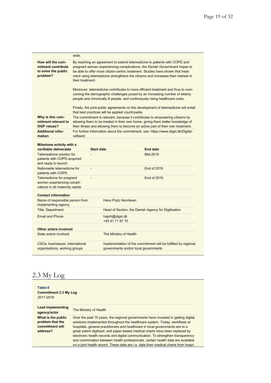|                                                                                           | wide.             |                                                  |                                                                                                                                                                                                                                                                                                                                       |
|-------------------------------------------------------------------------------------------|-------------------|--------------------------------------------------|---------------------------------------------------------------------------------------------------------------------------------------------------------------------------------------------------------------------------------------------------------------------------------------------------------------------------------------|
| How will the com-<br>mitment contribute<br>to solve the public<br>problem?                | their treatment.  |                                                  | By reaching an agreement to extend telemedicine to patients with COPD and<br>pregnant women experiencing complications, the Danish Government hopes to<br>be able to offer more citizen-centric treatment. Studies have shown that treat-<br>ment using telemedicine strengthens the citizens and increases their interest in         |
|                                                                                           |                   |                                                  | Moreover, telemedicine contributes to more efficient treatment and thus to over-<br>coming the demographic challenges posed by an increasing number of elderly<br>people and chronically ill people, and continuously rising healthcare costs.<br>Finally, the joint-public agreements on the development of telemedicine will entail |
|                                                                                           |                   | that best practices will be applied countrywide. |                                                                                                                                                                                                                                                                                                                                       |
| Why is this com-<br>mitment relevant to<br><b>OGP values?</b>                             |                   |                                                  | The commitment is relevant, because it contributes to empowering citizens by<br>allowing them to be treated in their own home, giving them better knowledge of<br>their illness and allowing them to become an active part of their own treatment.                                                                                    |
| <b>Additional infor-</b><br>mation                                                        | velfaerd          |                                                  | For further information about the commitment, see: https://www.digst.dk/Digital-                                                                                                                                                                                                                                                      |
| Milestone activity with a<br>verifiable deliverable                                       | <b>Start date</b> |                                                  | <b>End date</b>                                                                                                                                                                                                                                                                                                                       |
| Telemedicine solution for<br>patients with COPD acquired<br>and ready to launch           |                   |                                                  | Mid-2019                                                                                                                                                                                                                                                                                                                              |
| Nationwide telemedicine for<br>patients with COPD                                         | L,                |                                                  | <b>End of 2019</b>                                                                                                                                                                                                                                                                                                                    |
| Telemedicine for pregnant<br>women experiencing compli-<br>cations in all maternity wards |                   |                                                  | <b>End of 2019</b>                                                                                                                                                                                                                                                                                                                    |
| <b>Contact information</b>                                                                |                   |                                                  |                                                                                                                                                                                                                                                                                                                                       |
| Name of responsible person from<br>implementing agency                                    |                   | Hans Prytz Henriksen                             |                                                                                                                                                                                                                                                                                                                                       |
| Title, Department                                                                         |                   |                                                  | Head of Section, the Danish Agency for Digitisation                                                                                                                                                                                                                                                                                   |
| <b>Email and Phone</b>                                                                    |                   | haprh@digst.dk<br>+45 41 71 87 70                |                                                                                                                                                                                                                                                                                                                                       |
| <b>Other actors involved</b>                                                              |                   |                                                  |                                                                                                                                                                                                                                                                                                                                       |
| State actors involved                                                                     |                   | The Ministry of Health                           |                                                                                                                                                                                                                                                                                                                                       |
| CSOs, businesses, international<br>organisations, working groups                          |                   | governments and/or local governments             | Implementation of the commitment will be fulfilled by regional                                                                                                                                                                                                                                                                        |
|                                                                                           |                   |                                                  |                                                                                                                                                                                                                                                                                                                                       |

### 2.3 My Log

| Table 8<br><b>Commitment 2.3 My Log</b><br>2017-2018                  |                                                                                                                                                                                                                                                                                                                                                                                                                                                                                                                                                                                               |
|-----------------------------------------------------------------------|-----------------------------------------------------------------------------------------------------------------------------------------------------------------------------------------------------------------------------------------------------------------------------------------------------------------------------------------------------------------------------------------------------------------------------------------------------------------------------------------------------------------------------------------------------------------------------------------------|
| <b>Lead implementing</b><br>agency/actor                              | The Ministry of Health                                                                                                                                                                                                                                                                                                                                                                                                                                                                                                                                                                        |
| What is the public<br>problem that the<br>commitment will<br>address? | Over the past 10 years, the regional governments have invested in getting digital<br>solutions implemented throughout the healthcare system. Today, workflows at<br>hospitals, general practitioners and healthcare in local governments are to a<br>great extent digitized, and paper-based medical charts have been replaced by<br>electronic health records and digital communication. To strengthen transparency<br>and commination between health professionals, certain health data are available<br>on a joint health record. These data are i.e. data from medical charts from hospi- |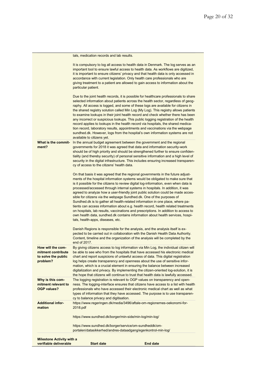| verifiable deliverable                                                     | <b>Start date</b>                                                                                                 | <b>End date</b>                                                                                                                                                                                                                                                                                                                                                                                                                                                                                                                                                                                                                                                                                                                                                                                                                                         |
|----------------------------------------------------------------------------|-------------------------------------------------------------------------------------------------------------------|---------------------------------------------------------------------------------------------------------------------------------------------------------------------------------------------------------------------------------------------------------------------------------------------------------------------------------------------------------------------------------------------------------------------------------------------------------------------------------------------------------------------------------------------------------------------------------------------------------------------------------------------------------------------------------------------------------------------------------------------------------------------------------------------------------------------------------------------------------|
| <b>Milestone Activity with a</b>                                           |                                                                                                                   |                                                                                                                                                                                                                                                                                                                                                                                                                                                                                                                                                                                                                                                                                                                                                                                                                                                         |
|                                                                            | https://www.sundhed.dk/borger/min-side/min-log/min-log/<br>https://www.sundhed.dk/borger/service/om-sundheddk/om- | portalen/datasikkerhed/andres-dataadgang/egenkontrol-min-log/                                                                                                                                                                                                                                                                                                                                                                                                                                                                                                                                                                                                                                                                                                                                                                                           |
| <b>Additional infor-</b><br>mation                                         | 2018.pdf                                                                                                          | https://www.regeringen.dk/media/3496/aftale-om-regionernes-oekonomi-for-                                                                                                                                                                                                                                                                                                                                                                                                                                                                                                                                                                                                                                                                                                                                                                                |
| Why is this com-<br>mitment relevant to<br><b>OGP values?</b>              | cy to balance privacy and digitisation.                                                                           | The logging registration is relevant to OGP values on transparency and open-<br>ness. The logging-interface ensures that citizens have access to a list with health<br>professionals who have accessed their electronic medical chart as well as what<br>types of information that they have accessed. The purpose is to use transparen-                                                                                                                                                                                                                                                                                                                                                                                                                                                                                                                |
| How will the com-<br>mitment contribute<br>to solve the public<br>problem? |                                                                                                                   | By giving citizens access to log information via Min Log, the individual citizen will<br>be able to see who from the hospitals that have accessed his electronic medical<br>chart and report suspicions of unlawful access of data. This digital registration<br>log helps create transparency and openness about the use of sensitive infor-<br>mation, which is a crucial element in ensuring the balance between increased<br>digitalization and privacy. By implementing the citizen-oriented log-solution, it is<br>the hope that citizens will continue to trust that health data is lawfully accessed.                                                                                                                                                                                                                                           |
|                                                                            | tals, health-apps, diseases, etc.<br>end of 2017.                                                                 | Danish Regions is responsible for the analysis, and the analysis itself is ex-<br>pected to be carried out in collaboration with the Danish Health Data Authority.<br>Content, timeline and the organization of the analysis will be completed by the                                                                                                                                                                                                                                                                                                                                                                                                                                                                                                                                                                                                   |
|                                                                            |                                                                                                                   | On that basis it was agreed that the regional governments in the future adjust-<br>ments of the hospital information systems would be obligated to make sure that<br>is it possible for the citizens to review digital log-information, even when data is<br>processed/accessed through internal systems in hospitals. In addition, it was<br>agreed to analyze how a user-friendly joint public solution could be made acces-<br>sible for citizens via the webpage Sundhed.dk. One of the purposes of<br>Sundhed dk is to gather all health-related information in one place, where pa-<br>tients can access information about e.g. health record, health related treatments<br>on hospitals, lab results, vaccinations and prescriptions. In addition to access to<br>own health data, sundhed.dk contains information about health services, hospi- |
| What is the commit-<br>ment?                                               | cy of access to the citizens' health data.                                                                        | In the annual budget agreement between the government and the regional<br>governments for 2018 it was agreed that data and information security-work<br>should be of high priority and should be strengthened further to ensure confiden-<br>tiality (and thereby security) of personal sensitive information and a high level of<br>security in the digital infrastructure. This includes ensuring increased transparen-                                                                                                                                                                                                                                                                                                                                                                                                                               |
|                                                                            | available to citizens yet.                                                                                        | Due to the joint health records, it is possible for healthcare professionals to share<br>selected information about patients across the health sector, regardless of geog-<br>raphy. All access is logged, and some of these logs are available for citizens in<br>the shared registry solution called Min Log (My Log). This registry allows patients<br>to examine lookups in their joint health record and check whether there has been<br>any incorrect or suspicious lookups. This public logging registration of the health<br>record applies to lookups in the health record via hospitals, the shared medica-<br>tion record, laboratory results, appointments and vaccinations via the webpage<br>sundhed.dk. However, logs from the hospital's own information systems are not                                                                |
|                                                                            | particular patient.                                                                                               | It is compulsory to log all access to health data in Denmark. The log serves as an<br>important tool to ensure lawful access to health data. As workflows are digitized,<br>it is important to ensure citizens' privacy and that health data is only accessed in<br>accordance with current legislation. Only health care professionals who are<br>giving treatment to a patient are allowed to gain access to information about the                                                                                                                                                                                                                                                                                                                                                                                                                    |
|                                                                            | tals, medication records and lab results.                                                                         |                                                                                                                                                                                                                                                                                                                                                                                                                                                                                                                                                                                                                                                                                                                                                                                                                                                         |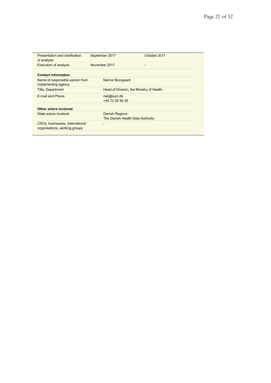| Presentation and clarification<br>of analysis                    | September 2017                                            | October 2017 |
|------------------------------------------------------------------|-----------------------------------------------------------|--------------|
| <b>Execution of analysis</b>                                     | November 2017                                             | -            |
| <b>Contact information</b>                                       |                                                           |              |
| Name of responsible person from<br>implementing agency           | Nanna Skovgaard                                           |              |
| <b>Title, Department</b>                                         | Head of Division, the Ministry of Health                  |              |
| E-mail and Phone                                                 | nsk@sum.dk<br>+45 72 26 95 45                             |              |
| Other actors involved                                            |                                                           |              |
| State actors involved                                            | <b>Danish Regions</b><br>The Danish Health Data Authority |              |
| CSOs, businesses, international<br>organisations, working groups |                                                           |              |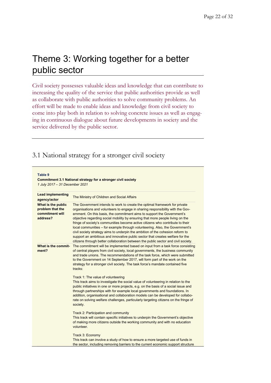# Theme 3: Working together for a better public sector

Civil society possesses valuable ideas and knowledge that can contribute to increasing the quality of the service that public authorities provide as well as collaborate with public authorities to solve community problems. An effort will be made to enable ideas and knowledge from civil society to come into play both in relation to solving concrete issues as well as engaging in continuous dialogue about future developments in society and the service delivered by the public sector.

### 3.1 National strategy for a stronger civil society

| <b>Table 9</b> |  |
|----------------|--|
|----------------|--|

**Commitment 3.1 National strategy for a stronger civil society** *1 July 2017 – 31 December 2021*

| <b>Lead implementing</b><br>agency/actor                              | The Ministry of Children and Social Affairs                                                                                                                                                                                                                                                                                                                                                                                                                                                                                                                                                                                                                                                                                                           |
|-----------------------------------------------------------------------|-------------------------------------------------------------------------------------------------------------------------------------------------------------------------------------------------------------------------------------------------------------------------------------------------------------------------------------------------------------------------------------------------------------------------------------------------------------------------------------------------------------------------------------------------------------------------------------------------------------------------------------------------------------------------------------------------------------------------------------------------------|
| What is the public<br>problem that the<br>commitment will<br>address? | The Government intends to work to create the optimal framework for private<br>organisations and volunteers to engage in sharing responsibility with the Gov-<br>ernment. On this basis, the commitment aims to support the Government's<br>objective regarding social mobility by ensuring that more people living on the<br>fringe of society's communities become active citizens who contribute to their<br>local communities – for example through volunteering. Also, the Government's<br>civil society strategy aims to underpin the ambition of the cohesion reform to<br>support an ambitious and innovative public sector that creates welfare for the<br>citizens through better collaboration between the public sector and civil society. |
| What is the commit-<br>ment?                                          | The commitment will be implemented based on input from a task force consisting<br>of central players from civil society, local governments, the business community<br>and trade unions. The recommendations of the task force, which were submitted<br>to the Government on 14 September 2017, will form part of the work on the<br>strategy for a stronger civil society. The task force's mandate contained five<br>tracks:                                                                                                                                                                                                                                                                                                                         |
|                                                                       | Track 1: The value of volunteering<br>This track aims to investigate the social value of volunteering in relation to the<br>public initiatives in one or more projects, e.g. on the basis of a social issue and<br>through partnerships with for example local governments and foundations. In<br>addition, organisational and collaboration models can be developed for collabo-<br>rate on solving welfare challenges, particularly targeting citizens on the fringe of<br>society.<br>Track 2: Participation and community                                                                                                                                                                                                                         |
|                                                                       | This track will contain specific initiatives to underpin the Government's objective<br>of making more citizens outside the working community and with no education<br>volunteer.                                                                                                                                                                                                                                                                                                                                                                                                                                                                                                                                                                      |
|                                                                       | Track 3: Economy<br>This track can involve a study of how to ensure a more targeted use of funds in<br>the sector, including removing barriers to the current economic support structure                                                                                                                                                                                                                                                                                                                                                                                                                                                                                                                                                              |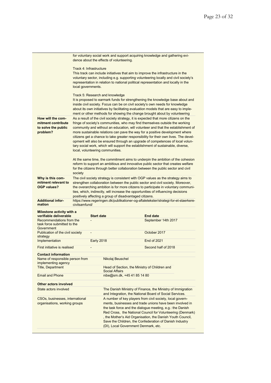| How will the com-<br>mitment contribute<br>to solve the public<br>problem?<br>Why is this com-  | Track 4: Infrastructure<br>local governments.<br>society | Track 5: Research and knowledge<br>local, volunteering communities. | This track can include initiatives that aim to improve the infrastructure in the<br>voluntary sector, including e.g. supporting volunteering locally and civil society's<br>representation in relation to national political representation and locally in the<br>It is proposed to earmark funds for strengthening the knowledge base about and<br>inside civil society. Focus can be on civil society's own needs for knowledge<br>about its own initiatives by facilitating evaluation models that are easy to imple-<br>ment or other methods for showing the change brought about by volunteering<br>As a result of the civil society strategy, it is expected that more citizens on the<br>fringe of society's communities, who may find themselves outside the working<br>community and without an education, will volunteer and that the establishment of<br>more sustainable relations can pave the way for a positive development where<br>citizens get a chance to take greater responsibility for their own lives. The devel-<br>opment will also be ensured through an upgrade of competences of local volun-<br>tary social work, which will support the establishment of sustainable, diverse,<br>At the same time, the commitment aims to underpin the ambition of the cohesion<br>reform to support an ambitious and innovative public sector that creates welfare<br>for the citizens through better collaboration between the public sector and civil<br>The civil society strategy is consistent with OGP values as the strategy aims to |
|-------------------------------------------------------------------------------------------------|----------------------------------------------------------|---------------------------------------------------------------------|--------------------------------------------------------------------------------------------------------------------------------------------------------------------------------------------------------------------------------------------------------------------------------------------------------------------------------------------------------------------------------------------------------------------------------------------------------------------------------------------------------------------------------------------------------------------------------------------------------------------------------------------------------------------------------------------------------------------------------------------------------------------------------------------------------------------------------------------------------------------------------------------------------------------------------------------------------------------------------------------------------------------------------------------------------------------------------------------------------------------------------------------------------------------------------------------------------------------------------------------------------------------------------------------------------------------------------------------------------------------------------------------------------------------------------------------------------------------------------------------------------------------------------------------------------------|
|                                                                                                 |                                                          |                                                                     |                                                                                                                                                                                                                                                                                                                                                                                                                                                                                                                                                                                                                                                                                                                                                                                                                                                                                                                                                                                                                                                                                                                                                                                                                                                                                                                                                                                                                                                                                                                                                              |
|                                                                                                 |                                                          |                                                                     |                                                                                                                                                                                                                                                                                                                                                                                                                                                                                                                                                                                                                                                                                                                                                                                                                                                                                                                                                                                                                                                                                                                                                                                                                                                                                                                                                                                                                                                                                                                                                              |
|                                                                                                 |                                                          |                                                                     |                                                                                                                                                                                                                                                                                                                                                                                                                                                                                                                                                                                                                                                                                                                                                                                                                                                                                                                                                                                                                                                                                                                                                                                                                                                                                                                                                                                                                                                                                                                                                              |
|                                                                                                 |                                                          |                                                                     |                                                                                                                                                                                                                                                                                                                                                                                                                                                                                                                                                                                                                                                                                                                                                                                                                                                                                                                                                                                                                                                                                                                                                                                                                                                                                                                                                                                                                                                                                                                                                              |
| mitment relevant to<br><b>OGP values?</b>                                                       |                                                          |                                                                     | strengthen collaboration between the public sector and civil society. Moreover,<br>the overarching ambition is for more citizens to participate in voluntary communi-<br>ties, which, indirectly, will increase the opportunities of influencing decisions<br>positively affecting a group of disadvantaged citizens.                                                                                                                                                                                                                                                                                                                                                                                                                                                                                                                                                                                                                                                                                                                                                                                                                                                                                                                                                                                                                                                                                                                                                                                                                                        |
| <b>Additional infor-</b><br>mation                                                              | civilsamfund/                                            |                                                                     | https://www.regeringen.dk/publikationer-og-aftaletekster/strategi-for-et-staerkere-                                                                                                                                                                                                                                                                                                                                                                                                                                                                                                                                                                                                                                                                                                                                                                                                                                                                                                                                                                                                                                                                                                                                                                                                                                                                                                                                                                                                                                                                          |
| Milestone activity with a                                                                       |                                                          |                                                                     |                                                                                                                                                                                                                                                                                                                                                                                                                                                                                                                                                                                                                                                                                                                                                                                                                                                                                                                                                                                                                                                                                                                                                                                                                                                                                                                                                                                                                                                                                                                                                              |
| verifiable deliverable<br>Recommendations from the<br>task force submitted to the<br>Government |                                                          | <b>Start date</b>                                                   | <b>End date</b><br>September 14th 2017                                                                                                                                                                                                                                                                                                                                                                                                                                                                                                                                                                                                                                                                                                                                                                                                                                                                                                                                                                                                                                                                                                                                                                                                                                                                                                                                                                                                                                                                                                                       |
| Publication of the civil society<br>strategy                                                    | $\qquad \qquad \blacksquare$                             |                                                                     | October 2017                                                                                                                                                                                                                                                                                                                                                                                                                                                                                                                                                                                                                                                                                                                                                                                                                                                                                                                                                                                                                                                                                                                                                                                                                                                                                                                                                                                                                                                                                                                                                 |
| Implementation                                                                                  |                                                          | <b>Early 2018</b>                                                   | End of 2021                                                                                                                                                                                                                                                                                                                                                                                                                                                                                                                                                                                                                                                                                                                                                                                                                                                                                                                                                                                                                                                                                                                                                                                                                                                                                                                                                                                                                                                                                                                                                  |
| First initiative is realised                                                                    |                                                          |                                                                     | Second half of 2018                                                                                                                                                                                                                                                                                                                                                                                                                                                                                                                                                                                                                                                                                                                                                                                                                                                                                                                                                                                                                                                                                                                                                                                                                                                                                                                                                                                                                                                                                                                                          |
| <b>Contact information</b>                                                                      |                                                          |                                                                     |                                                                                                                                                                                                                                                                                                                                                                                                                                                                                                                                                                                                                                                                                                                                                                                                                                                                                                                                                                                                                                                                                                                                                                                                                                                                                                                                                                                                                                                                                                                                                              |
| Name of responsible person from<br>implementing agency                                          |                                                          | Nikolaj Beuschel                                                    |                                                                                                                                                                                                                                                                                                                                                                                                                                                                                                                                                                                                                                                                                                                                                                                                                                                                                                                                                                                                                                                                                                                                                                                                                                                                                                                                                                                                                                                                                                                                                              |
| <b>Title, Department</b>                                                                        |                                                          | <b>Social Affairs</b>                                               | Head of Section, the Ministry of Children and                                                                                                                                                                                                                                                                                                                                                                                                                                                                                                                                                                                                                                                                                                                                                                                                                                                                                                                                                                                                                                                                                                                                                                                                                                                                                                                                                                                                                                                                                                                |
| <b>Email and Phone</b>                                                                          |                                                          |                                                                     | nibe@sm.dk, +45 41 85 14 80                                                                                                                                                                                                                                                                                                                                                                                                                                                                                                                                                                                                                                                                                                                                                                                                                                                                                                                                                                                                                                                                                                                                                                                                                                                                                                                                                                                                                                                                                                                                  |
| Other actors involved                                                                           |                                                          |                                                                     |                                                                                                                                                                                                                                                                                                                                                                                                                                                                                                                                                                                                                                                                                                                                                                                                                                                                                                                                                                                                                                                                                                                                                                                                                                                                                                                                                                                                                                                                                                                                                              |
| State actors involved                                                                           |                                                          |                                                                     | The Danish Ministry of Finance, the Ministry of Immigration<br>and Integration, the National Board of Social Services.                                                                                                                                                                                                                                                                                                                                                                                                                                                                                                                                                                                                                                                                                                                                                                                                                                                                                                                                                                                                                                                                                                                                                                                                                                                                                                                                                                                                                                       |
| CSOs, businesses, international<br>organisations, working groups                                |                                                          |                                                                     | A number of key players from civil society, local govern-<br>ments, businesses and trade unions have been involved in<br>the task force and the dialogue meeting, e.g.: the Danish<br>Red Cross, the National Council for Volunteering (Denmark)<br>, the Mother's Aid Organisation, the Danish Youth Council,<br>Save the Children, the Confederation of Danish Industry<br>(DI), Local Government Denmark, etc.                                                                                                                                                                                                                                                                                                                                                                                                                                                                                                                                                                                                                                                                                                                                                                                                                                                                                                                                                                                                                                                                                                                                            |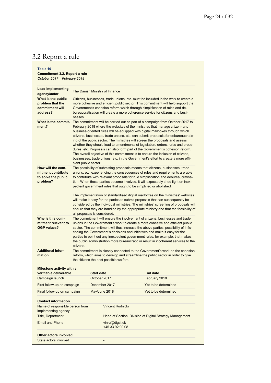# 3.2 Report a rule

#### **Table 10 Commitment 3.2. Report a rule** *October 2017 – February 2018*

| State actors involved                                                      |                                |                   |                                                                    |                                                                                                                                                                                                                                                                                                                                                                                                                                                                                                                                                                                                                                                                                                                                                                 |  |
|----------------------------------------------------------------------------|--------------------------------|-------------------|--------------------------------------------------------------------|-----------------------------------------------------------------------------------------------------------------------------------------------------------------------------------------------------------------------------------------------------------------------------------------------------------------------------------------------------------------------------------------------------------------------------------------------------------------------------------------------------------------------------------------------------------------------------------------------------------------------------------------------------------------------------------------------------------------------------------------------------------------|--|
| Other actors involved                                                      |                                |                   |                                                                    |                                                                                                                                                                                                                                                                                                                                                                                                                                                                                                                                                                                                                                                                                                                                                                 |  |
| <b>Email and Phone</b>                                                     |                                |                   | vinru@digst.dk<br>+45 33 92 90 08                                  |                                                                                                                                                                                                                                                                                                                                                                                                                                                                                                                                                                                                                                                                                                                                                                 |  |
| <b>Title, Department</b>                                                   |                                |                   |                                                                    | Head of Section, Division of Digital Strategy Management                                                                                                                                                                                                                                                                                                                                                                                                                                                                                                                                                                                                                                                                                                        |  |
| Name of responsible person from<br>implementing agency                     |                                |                   | <b>Vincent Rudnicki</b>                                            |                                                                                                                                                                                                                                                                                                                                                                                                                                                                                                                                                                                                                                                                                                                                                                 |  |
| <b>Contact information</b>                                                 |                                |                   |                                                                    |                                                                                                                                                                                                                                                                                                                                                                                                                                                                                                                                                                                                                                                                                                                                                                 |  |
| Final follow-up on campaign                                                |                                | May/June 2018     |                                                                    | Yet to be determined                                                                                                                                                                                                                                                                                                                                                                                                                                                                                                                                                                                                                                                                                                                                            |  |
| First follow-up on campaign                                                |                                |                   | December 2017                                                      | Yet to be determined                                                                                                                                                                                                                                                                                                                                                                                                                                                                                                                                                                                                                                                                                                                                            |  |
| Campaign launch                                                            |                                | October 2017      |                                                                    | February 2018                                                                                                                                                                                                                                                                                                                                                                                                                                                                                                                                                                                                                                                                                                                                                   |  |
| Milestone activity with a<br>verifiable deliverable                        |                                | <b>Start date</b> |                                                                    | <b>End date</b>                                                                                                                                                                                                                                                                                                                                                                                                                                                                                                                                                                                                                                                                                                                                                 |  |
| <b>Additional infor-</b><br>mation                                         |                                |                   | the citizens the best possible welfare.                            | The commitment is closely connected to the Government's work on the cohesion<br>reform, which aims to develop and streamline the public sector in order to give                                                                                                                                                                                                                                                                                                                                                                                                                                                                                                                                                                                                 |  |
| Why is this com-<br>mitment relevant to<br><b>OGP values?</b>              | citizens.                      |                   |                                                                    | The commitment will ensure the involvement of citizens, businesses and trade<br>unions in the Government's work to create a more cohesive and efficient public<br>sector. The commitment will thus increase the above parties' possibility of influ-<br>encing the Government's decisions and initiatives and make it easy for the<br>parties to point out any inexpedient government rules, for example, that makes<br>the public administration more bureaucratic or result in incoherent services to the                                                                                                                                                                                                                                                     |  |
|                                                                            | all proposals is considered.   |                   |                                                                    | The implementation of standardised digital mailboxes on the ministries' websites<br>will make it easy for the parties to submit proposals that can subsequently be<br>considered by the individual ministries. The ministries' screening of proposals will<br>ensure that they are handled by the appropriate ministry and that the feasibility of                                                                                                                                                                                                                                                                                                                                                                                                              |  |
| How will the com-<br>mitment contribute<br>to solve the public<br>problem? |                                |                   | pedient government rules that ought to be simplified or abolished. | The possibility of submitting proposals means that citizens, businesses, trade<br>unions, etc. experiencing the consequences of rules and requirements are able<br>to contribute with relevant proposals for rule simplification and debureaucratisa-<br>tion. When these parties become involved, it will expectedly shed light on inex-                                                                                                                                                                                                                                                                                                                                                                                                                       |  |
| What is the commit-<br>ment?                                               | cient public sector.           |                   |                                                                    | The commitment will be carried out as part of a campaign from October 2017 to<br>February 2018 where the websites of the ministries that manage citizen- and<br>business-oriented rules will be equipped with digital mailboxes through which<br>citizens, businesses, trade unions, etc. can submit proposals for debureaucratis-<br>ing of the public sector. The ministries will screen the proposals and assess<br>whether they should lead to amendments of legislation, orders, rules and proce-<br>dures, etc. Proposals can also form part of the Government's cohesion reform.<br>The overall objective of this commitment is to ensure the inclusion of citizens,<br>businesses, trade unions, etc. in the Government's effort to create a more effi- |  |
| What is the public<br>problem that the<br>commitment will<br>address?      | nesses.                        |                   |                                                                    | Citizens, businesses, trade unions, etc. must be included in the work to create a<br>more cohesive and efficient public sector. This commitment will help support the<br>Government's cohesion reform which through simplification of rules and de-<br>bureaucratisation will create a more coherence service for citizens and busi-                                                                                                                                                                                                                                                                                                                                                                                                                            |  |
| <b>Lead implementing</b><br>agency/actor                                   | The Danish Ministry of Finance |                   |                                                                    |                                                                                                                                                                                                                                                                                                                                                                                                                                                                                                                                                                                                                                                                                                                                                                 |  |
|                                                                            |                                |                   |                                                                    |                                                                                                                                                                                                                                                                                                                                                                                                                                                                                                                                                                                                                                                                                                                                                                 |  |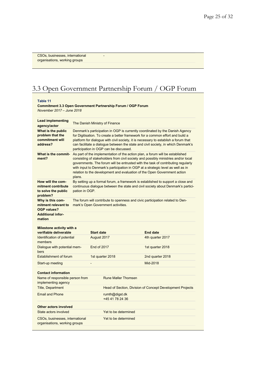CSOs, businesses, international organisations, working groups

## 3.3 Open Government Partnership Forum / OGP Forum

-

**Table 11**

**Commitment 3.3 Open Government Partnership Forum / OGP Forum** *November 2017 – June 2018*

| <b>Lead implementing</b><br>agency/actor                                   |                | The Danish Ministry of Finance     |                                        |                                                                                                                                                                                                                                                                                                                                                                                                                        |
|----------------------------------------------------------------------------|----------------|------------------------------------|----------------------------------------|------------------------------------------------------------------------------------------------------------------------------------------------------------------------------------------------------------------------------------------------------------------------------------------------------------------------------------------------------------------------------------------------------------------------|
| What is the public<br>problem that the<br>commitment will<br>address?      |                |                                    | participation in OGP can be discussed. | Denmark's participation in OGP is currently coordinated by the Danish Agency<br>for Digitisation. To create a better framework for a common effort and build a<br>platform for dialogue with civil society, it is necessary to establish a forum that<br>can facilitate a dialogue between the state and civil society, in which Denmark's                                                                             |
| What is the commit-<br>ment?                                               | plans.         |                                    |                                        | As part of the implementation of the action plan, a forum will be established<br>consisting of stakeholders from civil society and possibly ministries and/or local<br>governments. The forum will be entrusted with the task of contributing regularly<br>with input to Denmark's participation in OGP at a strategic level as well as in<br>relation to the development and evaluation of the Open Government action |
| How will the com-<br>mitment contribute<br>to solve the public<br>problem? | pation in OGP. |                                    |                                        | By setting up a formal forum, a framework is established to support a close and<br>continuous dialogue between the state and civil society about Denmark's partici-                                                                                                                                                                                                                                                    |
| Why is this com-<br>mitment relevant to<br>OGP values?                     |                | mark's Open Government activities. |                                        | The forum will contribute to openness and civic participation related to Den-                                                                                                                                                                                                                                                                                                                                          |
| <b>Additional infor-</b><br>mation                                         |                |                                    |                                        |                                                                                                                                                                                                                                                                                                                                                                                                                        |
| Milestone activity with a<br>verifiable deliverable                        |                | <b>Start date</b>                  |                                        | <b>End date</b>                                                                                                                                                                                                                                                                                                                                                                                                        |
| Identification of potential<br>members                                     |                | August 2017                        |                                        | 4th quarter 2017                                                                                                                                                                                                                                                                                                                                                                                                       |
| Dialogue with potential mem-<br>bers                                       |                | End of 2017                        |                                        | 1st quarter 2018                                                                                                                                                                                                                                                                                                                                                                                                       |
| Establishment of forum                                                     |                | 1st quarter 2018                   |                                        | 2nd quarter 2018                                                                                                                                                                                                                                                                                                                                                                                                       |
| Start-up meeting                                                           |                |                                    |                                        | Mid-2018                                                                                                                                                                                                                                                                                                                                                                                                               |
| <b>Contact information</b>                                                 |                |                                    |                                        |                                                                                                                                                                                                                                                                                                                                                                                                                        |
|                                                                            |                |                                    |                                        |                                                                                                                                                                                                                                                                                                                                                                                                                        |
| Name of responsible person from<br>implementing agency                     |                |                                    | <b>Rune Møller Thomsen</b>             |                                                                                                                                                                                                                                                                                                                                                                                                                        |
| <b>Title, Department</b>                                                   |                |                                    |                                        | Head of Section, Division of Concept Development Projects                                                                                                                                                                                                                                                                                                                                                              |
| <b>Email and Phone</b>                                                     |                |                                    | rumth@digst.dk<br>+45 41 78 24 36      |                                                                                                                                                                                                                                                                                                                                                                                                                        |
| Other actors involved                                                      |                |                                    |                                        |                                                                                                                                                                                                                                                                                                                                                                                                                        |
| State actors involved                                                      |                |                                    | Yet to be determined                   |                                                                                                                                                                                                                                                                                                                                                                                                                        |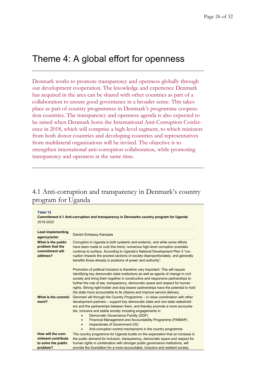# Theme 4: A global effort for openness

Denmark works to promote transparency and openness globally through our development cooperation. The knowledge and experience Denmark has acquired in the area can be shared with other countries as part of a collaboration to ensure good governance in a broader sense. This takes place as part of country programmes in Denmark's programme cooperation countries. The transparency and openness agenda is also expected to be raised when Denmark hosts the International Anti-Corruption Conference in 2018, which will comprise a high-level segment, to which ministers from both donor countries and developing countries and representatives from multilateral organisations will be invited. The objective is to strengthen international anti-corruption collaboration, while promoting transparency and openness at the same time.

### 4.1 Anti-corruption and transparency in Denmark's country program for Uganda

| <b>Tabel 12</b><br>Commitment 4.1 Anti-corruption and transparency in Denmarks country program for Uganda<br>2018-2022 |                                                                                                                                                                                                                                                                                                                                                                                                                                                                                                                                               |  |
|------------------------------------------------------------------------------------------------------------------------|-----------------------------------------------------------------------------------------------------------------------------------------------------------------------------------------------------------------------------------------------------------------------------------------------------------------------------------------------------------------------------------------------------------------------------------------------------------------------------------------------------------------------------------------------|--|
| <b>Lead implementing</b><br>agency/actor                                                                               | Danish Embassy Kampala                                                                                                                                                                                                                                                                                                                                                                                                                                                                                                                        |  |
| What is the public<br>problem that the<br>commitment will<br>address?                                                  | Corruption in Uganda is both systemic and endemic, and while some efforts<br>have been made to curb this trend, numerous high-level corruption scandals<br>continue to surface. According to Uganda's National Development Plan II "cor-<br>ruption impacts the poorest sections of society disproportionately, and generally<br>benefits those already in positions of power and authority".                                                                                                                                                 |  |
|                                                                                                                        | Promotion of political inclusion is therefore very important. This will require<br>identifying key democratic state institutions as well as agents of change in civil<br>society and bring them together in constructive and responsive partnerships to<br>further the rule of law, transparency, democratic space and respect for human<br>rights. Strong right-holder and duty-bearer partnerships have the potential to hold<br>the state more accountable to its citizens and improve service delivery.                                   |  |
| What is the commit-<br>ment?                                                                                           | Denmark will through the Country Programme – in close coordination with other<br>development partners – support key democratic state and non-state stakehold-<br>ers and the partnerships between them, and thereby promote a more accounta-<br>ble, inclusive and stable society including engagements in:<br>Democratic Governance Facility (DGF)<br>Financial Management and Accountability Programme (FINMAP)<br>$\bullet$<br>Inspectorate of Government (IG)<br>$\bullet$<br>Anti-corruption control mechanisms in the country programme |  |
| How will the com-<br>mitment contribute<br>to solve the public<br>problem?                                             | The country programme for Uganda builds on the expectation that an increase in<br>the public demand for inclusion, transparency, democratic space and respect for<br>human rights in combination with stronger public governance institutions, will<br>provide the foundation for a more accountable, inclusive and resilient society.                                                                                                                                                                                                        |  |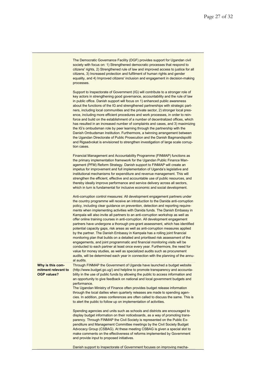|                                                               | The Democratic Governance Facility (DGF) provides support for Ugandan civil<br>society with focus on: 1) Strengthened democratic processes that respond to<br>citizens' rights, 2) Strengthened rule of law and improved access to justice for all<br>citizens, 3) Increased protection and fulfilment of human rights and gender<br>equality, and 4) Improved citizens' inclusion and engagement in decision-making<br>processes.                                                                                                                                                                                                                                                                                                                                                                                                                                                                                                                                                                                                                                                                                                                                                            |
|---------------------------------------------------------------|-----------------------------------------------------------------------------------------------------------------------------------------------------------------------------------------------------------------------------------------------------------------------------------------------------------------------------------------------------------------------------------------------------------------------------------------------------------------------------------------------------------------------------------------------------------------------------------------------------------------------------------------------------------------------------------------------------------------------------------------------------------------------------------------------------------------------------------------------------------------------------------------------------------------------------------------------------------------------------------------------------------------------------------------------------------------------------------------------------------------------------------------------------------------------------------------------|
|                                                               | Support to Inspectorate of Government (IG) will contribute to a stronger role of<br>key actors in strengthening good governance, accountability and the rule of law<br>in public office. Danish support will focus on 1) enhanced public awareness<br>about the functions of the IG and strengthened partnerships with strategic part-<br>ners, including local communities and the private sector, 2) stronger local pres-<br>ence, including more efficient procedures and work processes, in order to rein-<br>force and build on the establishment of a number of decentralized offices, which<br>has resulted in an increased number of complaints and cases, and 3) maximizing<br>the IG's ombudsman role by peer learning through the partnership with the<br>Danish Ombudsman Institution. Furthermore, a twinning arrangement between<br>the Ugandan Directorate of Public Prosecution and the Danish Bagmandspoliti<br>and Rigsadvokat is envisioned to strengthen investigation of large scale corrup-<br>tion cases.                                                                                                                                                              |
|                                                               | Financial Management and Accountability Programme (FINMAP) functions as<br>the primary implementation framework for the Ugandan Public Finance Man-<br>agement (PFM) Reform Strategy. Danish support to FINMAP will create an<br>impetus for improvement and full implementation of Uganda's legislative and<br>institutional mechanisms for expenditure and revenue management. This will<br>strengthen the efficient, effective and accountable use of public resources, and<br>thereby ideally improve performance and service delivery across all sectors,<br>which in turn is fundamental for inclusive economic and social development.                                                                                                                                                                                                                                                                                                                                                                                                                                                                                                                                                 |
|                                                               | Anti-corruption control measures: All development engagement partners under<br>the country programme will receive an introduction to the Danida anti-corruption<br>policy, including clear guidance on prevention, detection and reporting require-<br>ments when implementing activities with Danida funds. The Danish Embassy in<br>Kampala will also invite all partners to an anti-corruption workshop as well as<br>offer online training courses in anti-corruption. All development engagement<br>partners have undergone a thorough pre-grant assessment, which has identified<br>potential capacity gaps, risk areas as well as anti-corruption measures applied<br>by the partner. The Danish Embassy in Kampala has a rolling joint financial<br>monitoring plan that builds on a detailed and prioritised risk assessment of the<br>engagements, and joint programmatic and financial monitoring visits will be<br>conducted to each partner at least once every year. Furthermore, the need for<br>value for money studies, as well as specialized audits such as procurement<br>audits, will be determined each year in connection with the planning of the annu-<br>al audits. |
| Why is this com-<br>mitment relevant to<br><b>OGP values?</b> | Through FINMAP the Government of Uganda have launched a budget website<br>(http://www.budget.go.ug/) and helpline to promote transparency and accounta-<br>bility in the use of public funds by allowing the public to access information and<br>an opportunity to give feedback on national and local government budgets and<br>performance.<br>The Ugandan Ministry of Finance often provides budget release information<br>through the local dailies when quarterly releases are made to spending agen-<br>cies. In addition, press conferences are often called to discuss the same. This is<br>to alert the public to follow up on implementation of activities.                                                                                                                                                                                                                                                                                                                                                                                                                                                                                                                         |
|                                                               | Spending agencies and units such as schools and districts are encouraged to<br>display budget information on their noticeboards, as a way of promoting trans-<br>parency. Through FINMAP the Civil Society is represented on the Public Ex-<br>penditure and Management Committee meetings by the Civil Society Budget<br>Advocacy Group (CSBAG). At these meeting CSBAG is given a special slot to<br>make comments on the effectiveness of reforms implemented by Government<br>and provide input to proposed initiatives.                                                                                                                                                                                                                                                                                                                                                                                                                                                                                                                                                                                                                                                                  |
|                                                               | Danish support to Inspectorate of Government focuses on improving mecha-                                                                                                                                                                                                                                                                                                                                                                                                                                                                                                                                                                                                                                                                                                                                                                                                                                                                                                                                                                                                                                                                                                                      |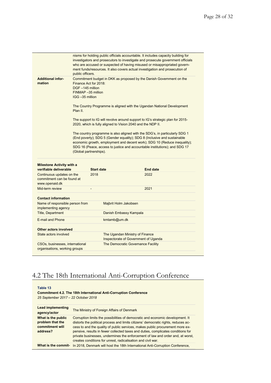|                                                                           | public officers.                                                                                                                                                                                                                    |                   | nisms for holding public officials accountable. It includes capacity building for<br>investigators and prosecutors to investigate and prosecute government officials<br>who are accused or suspected of having misused or misappropriated govern-<br>ment funds/resources. It also covers actual investigation and prosecution of |  |  |
|---------------------------------------------------------------------------|-------------------------------------------------------------------------------------------------------------------------------------------------------------------------------------------------------------------------------------|-------------------|-----------------------------------------------------------------------------------------------------------------------------------------------------------------------------------------------------------------------------------------------------------------------------------------------------------------------------------|--|--|
| <b>Additional infor-</b><br>mation                                        | Finance Act for 2018:<br>DGF-145 million<br>FINMAP-35 million<br>IGG -35 million                                                                                                                                                    |                   | Commitment budget in DKK as proposed by the Danish Government on the                                                                                                                                                                                                                                                              |  |  |
|                                                                           | The Country Programme is aligned with the Ugandan National Development<br>Plan II.<br>The support to IG will revolve around support to IG's strategic plan for 2015-<br>2020, which is fully aligned to Vision 2040 and the NDP II. |                   |                                                                                                                                                                                                                                                                                                                                   |  |  |
|                                                                           |                                                                                                                                                                                                                                     |                   |                                                                                                                                                                                                                                                                                                                                   |  |  |
| <b>Milestone Activity with a</b><br>verifiable deliverable                |                                                                                                                                                                                                                                     | <b>Start date</b> | <b>End date</b>                                                                                                                                                                                                                                                                                                                   |  |  |
| Continuous updates on the<br>commitment can be found at<br>www.openaid.dk |                                                                                                                                                                                                                                     | 2018              | 2022                                                                                                                                                                                                                                                                                                                              |  |  |
| Mid-term review                                                           |                                                                                                                                                                                                                                     |                   | 2021                                                                                                                                                                                                                                                                                                                              |  |  |
| <b>Contact information</b>                                                |                                                                                                                                                                                                                                     |                   |                                                                                                                                                                                                                                                                                                                                   |  |  |
| Name of responsible person from<br>implementing agency                    |                                                                                                                                                                                                                                     |                   | Majbrit Holm Jakobsen                                                                                                                                                                                                                                                                                                             |  |  |
| <b>Title, Department</b>                                                  |                                                                                                                                                                                                                                     |                   | Danish Embassy Kampala                                                                                                                                                                                                                                                                                                            |  |  |
| E-mail and Phone                                                          |                                                                                                                                                                                                                                     |                   | kmtamb@um.dk                                                                                                                                                                                                                                                                                                                      |  |  |
|                                                                           |                                                                                                                                                                                                                                     |                   |                                                                                                                                                                                                                                                                                                                                   |  |  |
| <b>Other actors involved</b>                                              |                                                                                                                                                                                                                                     |                   |                                                                                                                                                                                                                                                                                                                                   |  |  |
| State actors involved                                                     |                                                                                                                                                                                                                                     |                   | The Ugandan Ministry of Finance<br>Inspectorate of Government of Uganda                                                                                                                                                                                                                                                           |  |  |

# 4.2 The 18th International Anti-Corruption Conference

| Table 13<br><b>Commitment 4.2. The 18th International Anti-Corruption Conference</b><br>25 September 2017 - 22 October 2018 |                                                                                                                                                                                                                                                                                                                                                                                                                                                                                             |  |
|-----------------------------------------------------------------------------------------------------------------------------|---------------------------------------------------------------------------------------------------------------------------------------------------------------------------------------------------------------------------------------------------------------------------------------------------------------------------------------------------------------------------------------------------------------------------------------------------------------------------------------------|--|
| <b>Lead implementing</b><br>agency/actor                                                                                    | The Ministry of Foreign Affairs of Denmark                                                                                                                                                                                                                                                                                                                                                                                                                                                  |  |
| What is the public<br>problem that the<br>commitment will<br>address?                                                       | Corruption limits the possibilities of democratic and economic development. It<br>distorts the political process and limits citizens' democratic rights, reduces ac-<br>cess to and the quality of public services, makes public procurement more ex-<br>pensive, results in fewer collected taxes and duties, complicates conditions for<br>private businesses, undermines the enforcement of law and order and, at worst,<br>creates conditions for unrest, radicalisation and civil war. |  |
| What is the commit-                                                                                                         | In 2018, Denmark will host the 18th International Anti-Corruption Conference,                                                                                                                                                                                                                                                                                                                                                                                                               |  |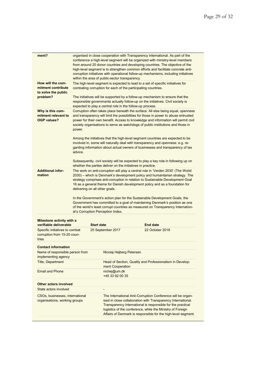| ment?                                                                  |                                                                                                                                                                                                                                                                                                                                                            | within the area of public-sector transparency.                      | organised in close cooperation with Transparency International. As part of the<br>conference a high-level segment will be organized with ministry-level members<br>from around 20 donor countries and developing countries. The objective of the<br>high-level segment is to strengthen common efforts and facilitate concrete anti-<br>corruption initiatives with operational follow-up mechanisms, including initiatives                                                                                                                                                       |  |
|------------------------------------------------------------------------|------------------------------------------------------------------------------------------------------------------------------------------------------------------------------------------------------------------------------------------------------------------------------------------------------------------------------------------------------------|---------------------------------------------------------------------|-----------------------------------------------------------------------------------------------------------------------------------------------------------------------------------------------------------------------------------------------------------------------------------------------------------------------------------------------------------------------------------------------------------------------------------------------------------------------------------------------------------------------------------------------------------------------------------|--|
| How will the com-<br>mitment contribute<br>to solve the public         |                                                                                                                                                                                                                                                                                                                                                            | combating corruption for each of the participating countries.       | The high-level segment is expected to lead to a set of specific initiatives for                                                                                                                                                                                                                                                                                                                                                                                                                                                                                                   |  |
| problem?                                                               |                                                                                                                                                                                                                                                                                                                                                            | expected to play a central role in the follow-up process.           | The initiatives will be supported by a follow-up mechanism to ensure that the<br>responsible governments actually follow-up on the initiatives. Civil society is                                                                                                                                                                                                                                                                                                                                                                                                                  |  |
| Why is this com-<br>mitment relevant to<br><b>OGP values?</b>          | Corruption often takes place beneath the surface. All else being equal, openness<br>and transparency will limit the possibilities for those in power to abuse entrusted<br>power for their own benefit. Access to knowledge and information will permit civil<br>society organisations to serve as watchdogs of public institutions and those in<br>power. |                                                                     |                                                                                                                                                                                                                                                                                                                                                                                                                                                                                                                                                                                   |  |
|                                                                        | advice.                                                                                                                                                                                                                                                                                                                                                    |                                                                     | Among the initiatives that the high-level segment countries are expected to be<br>involved in, some will naturally deal with transparency and openness: e.g. re-<br>garding information about actual owners of businesses and transparency of tax                                                                                                                                                                                                                                                                                                                                 |  |
|                                                                        |                                                                                                                                                                                                                                                                                                                                                            | whether the parties deliver on the initiatives in practice.         | Subsequently, civil society will be expected to play a key role in following up on                                                                                                                                                                                                                                                                                                                                                                                                                                                                                                |  |
| <b>Additional infor-</b><br>mation                                     |                                                                                                                                                                                                                                                                                                                                                            | delivering on all other goals.<br>al's Corruption Perception Index. | The work on anti-corruption will play a central role in 'Verden 2030' (The World<br>2030) – which is Denmark's development policy and humanitarian strategy. The<br>strategy comprises anti-corruption in relation to Sustainable Development Goal<br>16 as a general theme for Danish development policy and as a foundation for<br>In the Government's action plan for the Sustainable Development Goals, the<br>Government has committed to a goal of maintaining Denmark's position as one<br>of the world's least corrupt countries as measured on Transparency Internation- |  |
| Milestone activity with a<br>verifiable deliverable                    |                                                                                                                                                                                                                                                                                                                                                            | <b>Start date</b>                                                   | <b>End date</b>                                                                                                                                                                                                                                                                                                                                                                                                                                                                                                                                                                   |  |
| Specific initiatives to combat<br>corruption from 15-20 coun-<br>tries |                                                                                                                                                                                                                                                                                                                                                            | 25 September 2017                                                   | 22 October 2018                                                                                                                                                                                                                                                                                                                                                                                                                                                                                                                                                                   |  |
| <b>Contact information</b>                                             |                                                                                                                                                                                                                                                                                                                                                            |                                                                     |                                                                                                                                                                                                                                                                                                                                                                                                                                                                                                                                                                                   |  |
| Name of responsible person from<br>implementing agency                 |                                                                                                                                                                                                                                                                                                                                                            | Nicolaj Hejberg Petersen                                            |                                                                                                                                                                                                                                                                                                                                                                                                                                                                                                                                                                                   |  |
| <b>Title, Department</b>                                               |                                                                                                                                                                                                                                                                                                                                                            | ment Cooperation                                                    | Head of Section, Quality and Professionalism in Develop-                                                                                                                                                                                                                                                                                                                                                                                                                                                                                                                          |  |
| <b>Email and Phone</b>                                                 |                                                                                                                                                                                                                                                                                                                                                            | nichej@um.dk<br>+45 33 92 00 35                                     |                                                                                                                                                                                                                                                                                                                                                                                                                                                                                                                                                                                   |  |
| <b>Other actors involved</b>                                           |                                                                                                                                                                                                                                                                                                                                                            |                                                                     |                                                                                                                                                                                                                                                                                                                                                                                                                                                                                                                                                                                   |  |
| State actors involved                                                  |                                                                                                                                                                                                                                                                                                                                                            | ÷                                                                   |                                                                                                                                                                                                                                                                                                                                                                                                                                                                                                                                                                                   |  |
| CSOs, businesses, international<br>organisations, working groups       |                                                                                                                                                                                                                                                                                                                                                            |                                                                     | The International Anti-Corruption Conference will be organ-<br>ised in close collaboration with Transparency International.<br>Transparency International is responsible for the practical<br>logistics of the conference, while the Ministry of Foreign<br>Affairs of Denmark is responsible for the high-level segment.                                                                                                                                                                                                                                                         |  |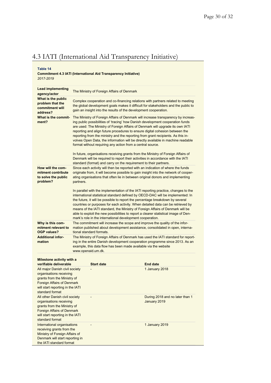### 4.3 IATI (International Aid Transparency Initiative)

**Table 14**

#### **Commitment 4.3 IATI (International Aid Transparency Initiative)** *2017-2019*

| <b>Lead implementing</b><br>agency/actor                                                                                                                                             | The Ministry of Foreign Affairs of Denmark                                                                                                                                                                                                                                                                                                                                                                                                                                                                                                                                  |                                                                                                                                                                                                                                                                                                                                                                                                                                                                                                                                                                                |  |
|--------------------------------------------------------------------------------------------------------------------------------------------------------------------------------------|-----------------------------------------------------------------------------------------------------------------------------------------------------------------------------------------------------------------------------------------------------------------------------------------------------------------------------------------------------------------------------------------------------------------------------------------------------------------------------------------------------------------------------------------------------------------------------|--------------------------------------------------------------------------------------------------------------------------------------------------------------------------------------------------------------------------------------------------------------------------------------------------------------------------------------------------------------------------------------------------------------------------------------------------------------------------------------------------------------------------------------------------------------------------------|--|
| What is the public<br>problem that the<br>commitment will<br>address?                                                                                                                | Complex cooperation and co-financing relations with partners related to meeting<br>the global development goals makes it difficult for stakeholders and the public to<br>gain an insight into the results of the development cooperation.                                                                                                                                                                                                                                                                                                                                   |                                                                                                                                                                                                                                                                                                                                                                                                                                                                                                                                                                                |  |
| What is the commit-<br>ment?                                                                                                                                                         | The Ministry of Foreign Affairs of Denmark will increase transparency by increas-<br>ing public possibilities of 'tracing' how Danish development cooperation funds<br>are used: The Ministry of Foreign Affairs of Denmark will upgrade its own IATI<br>reporting and align future procedures to ensure digital cohesion between the<br>reporting from the ministry and the reporting from grant recipients. As this in-<br>volves Open Data, the information will be directly available in machine readable<br>format without requiring any action from a central source. |                                                                                                                                                                                                                                                                                                                                                                                                                                                                                                                                                                                |  |
|                                                                                                                                                                                      |                                                                                                                                                                                                                                                                                                                                                                                                                                                                                                                                                                             | In future, organisations receiving grants from the Ministry of Foreign Affairs of<br>Denmark will be required to report their activities in accordance with the IATI<br>standard (format) and carry on the requirement to their partners.                                                                                                                                                                                                                                                                                                                                      |  |
| How will the com-<br>mitment contribute<br>to solve the public<br>problem?                                                                                                           | partners.                                                                                                                                                                                                                                                                                                                                                                                                                                                                                                                                                                   | Since each activity will then be reported with an indication of where the funds<br>originate from, it will become possible to gain insight into the network of cooper-<br>ating organisations that often lie in between original donors and implementing                                                                                                                                                                                                                                                                                                                       |  |
|                                                                                                                                                                                      |                                                                                                                                                                                                                                                                                                                                                                                                                                                                                                                                                                             | In parallel with the implementation of the IATI reporting practice, changes to the<br>international statistical standard defined by OECD-DAC will be implemented: In<br>the future, it will be possible to report the percentage breakdown by several<br>countries or purposes for each activity. When detailed data can be retrieved by<br>means of the IATI standard, the Ministry of Foreign Affairs of Denmark will be<br>able to exploit the new possibilities to report a clearer statistical image of Den-<br>mark's role in the international development cooperation. |  |
| Why is this com-<br>mitment relevant to<br><b>OGP values?</b>                                                                                                                        | tional standard formats.                                                                                                                                                                                                                                                                                                                                                                                                                                                                                                                                                    | The commitment will increase the scope and improve the quality of the infor-<br>mation published about development assistance, consolidated in open, interna-                                                                                                                                                                                                                                                                                                                                                                                                                  |  |
| <b>Additional infor-</b><br>mation                                                                                                                                                   | www.openaid.um.dk.                                                                                                                                                                                                                                                                                                                                                                                                                                                                                                                                                          | The Ministry of Foreign Affairs of Denmark has used the IATI standard for report-<br>ing in the entire Danish development cooperation programme since 2013. As an<br>example, this data flow has been made available via the website                                                                                                                                                                                                                                                                                                                                           |  |
| Milestone activity with a<br>verifiable deliverable                                                                                                                                  | <b>Start date</b>                                                                                                                                                                                                                                                                                                                                                                                                                                                                                                                                                           | <b>End date</b>                                                                                                                                                                                                                                                                                                                                                                                                                                                                                                                                                                |  |
| All major Danish civil society<br>organisations receiving<br>grants from the Ministry of<br><b>Foreign Affairs of Denmark</b><br>will start reporting in the IATI<br>standard format |                                                                                                                                                                                                                                                                                                                                                                                                                                                                                                                                                                             | 1 January 2018                                                                                                                                                                                                                                                                                                                                                                                                                                                                                                                                                                 |  |
| All other Danish civil society<br>organisations receiving<br>grants from the Ministry of<br><b>Foreign Affairs of Denmark</b><br>will start reporting in the IATI<br>standard format |                                                                                                                                                                                                                                                                                                                                                                                                                                                                                                                                                                             | During 2018 and no later than 1<br>January 2019                                                                                                                                                                                                                                                                                                                                                                                                                                                                                                                                |  |
| International organisations<br>receiving grants from the<br>Ministry of Foreign Affairs of<br>Denmark will start reporting in<br>the IATI standard format                            |                                                                                                                                                                                                                                                                                                                                                                                                                                                                                                                                                                             | 1 January 2019                                                                                                                                                                                                                                                                                                                                                                                                                                                                                                                                                                 |  |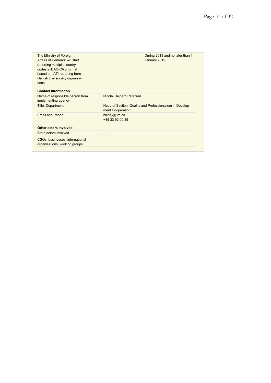| The Ministry of Foreign<br>Affairs of Denmark will start<br>reporting multiple country<br>codes in DAC-CRS format<br>based on IATI reporting from<br>Danish civil society organisa- | During 2018 and no later than 1<br>January 2019                              |
|-------------------------------------------------------------------------------------------------------------------------------------------------------------------------------------|------------------------------------------------------------------------------|
| tions                                                                                                                                                                               |                                                                              |
| <b>Contact information</b>                                                                                                                                                          |                                                                              |
| Name of responsible person from<br>implementing agency                                                                                                                              | Nicolaj Hejberg Petersen                                                     |
| <b>Title, Department</b>                                                                                                                                                            | Head of Section, Quality and Professionalism in Develop-<br>ment Cooperation |
| <b>Email and Phone</b>                                                                                                                                                              | nichej@um.dk<br>+45 33 92 00 35                                              |
| Other actors involved                                                                                                                                                               |                                                                              |
| State actors involved                                                                                                                                                               |                                                                              |
| CSOs, businesses, international<br>organisations, working groups                                                                                                                    |                                                                              |
|                                                                                                                                                                                     |                                                                              |